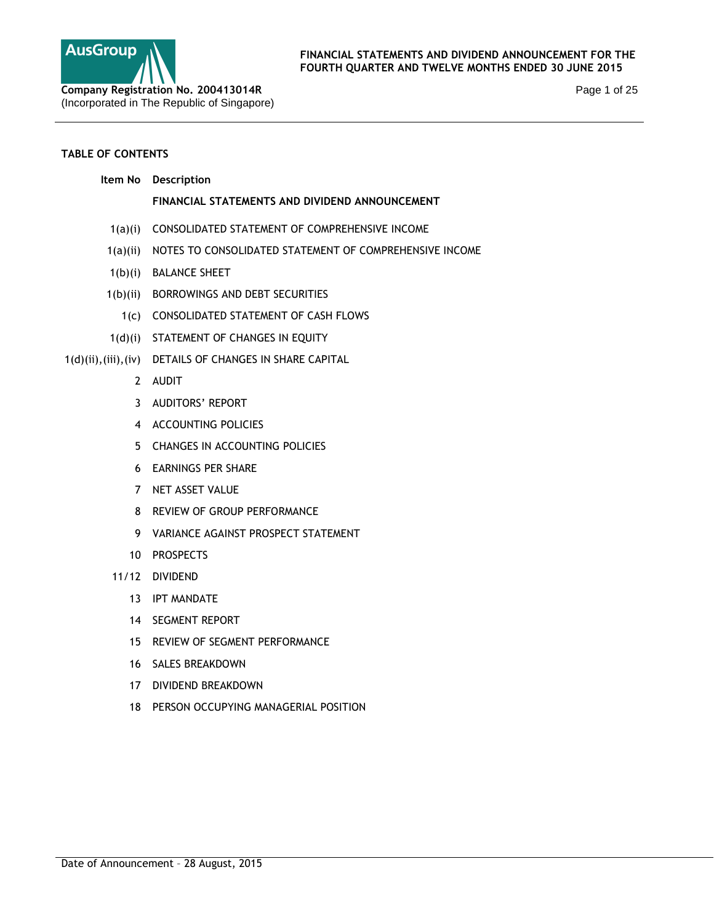

Page 1 of 25

# **TABLE OF CONTENTS**

| NOTES TO CONSOLIDATED STATEMENT OF COMPREHENSIVE INCOME |
|---------------------------------------------------------|
|                                                         |
|                                                         |
|                                                         |
|                                                         |
|                                                         |
|                                                         |
|                                                         |
|                                                         |
|                                                         |
|                                                         |
|                                                         |
|                                                         |
|                                                         |
|                                                         |
|                                                         |
|                                                         |
|                                                         |
|                                                         |
|                                                         |
|                                                         |
|                                                         |
|                                                         |
|                                                         |
|                                                         |
|                                                         |
|                                                         |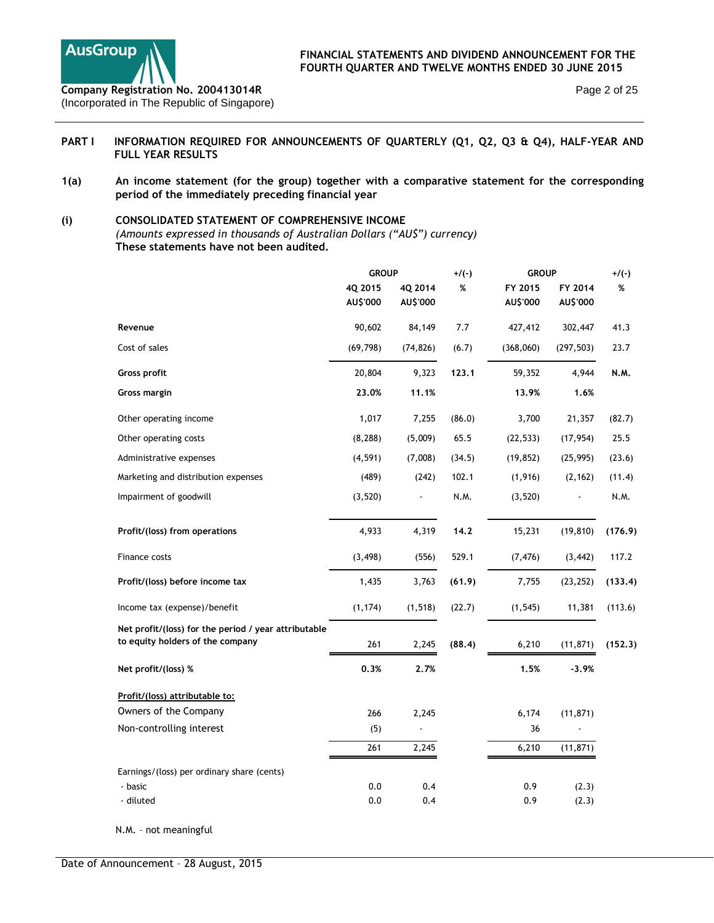

## PART I INFORMATION REQUIRED FOR ANNOUNCEMENTS OF QUARTERLY (Q1, Q2, Q3 & Q4), HALF-YEAR AND **FULL YEAR RESULTS**

**1(a) An income statement (for the group) together with a comparative statement for the corresponding period of the immediately preceding financial year** 

# **(i) CONSOLIDATED STATEMENT OF COMPREHENSIVE INCOME**

*(Amounts expressed in thousands of Australian Dollars ("AU\$") currency)*  **These statements have not been audited.** 

|                                                                                          | <b>GROUP</b> |           | $+/(-)$ | <b>GROUP</b> |            | $+/(-)$ |
|------------------------------------------------------------------------------------------|--------------|-----------|---------|--------------|------------|---------|
|                                                                                          | 4Q 2015      | 4Q 2014   | $\%$    | FY 2015      | FY 2014    | %       |
|                                                                                          | AU\$'000     | AU\$'000  |         | AU\$'000     | AU\$'000   |         |
| Revenue                                                                                  | 90,602       | 84,149    | 7.7     | 427,412      | 302,447    | 41.3    |
| Cost of sales                                                                            | (69, 798)    | (74, 826) | (6.7)   | (368,060)    | (297, 503) | 23.7    |
| Gross profit                                                                             | 20,804       | 9,323     | 123.1   | 59,352       | 4,944      | N.M.    |
| Gross margin                                                                             | 23.0%        | 11.1%     |         | 13.9%        | 1.6%       |         |
| Other operating income                                                                   | 1,017        | 7,255     | (86.0)  | 3,700        | 21,357     | (82.7)  |
| Other operating costs                                                                    | (8, 288)     | (5,009)   | 65.5    | (22, 533)    | (17, 954)  | 25.5    |
| Administrative expenses                                                                  | (4, 591)     | (7,008)   | (34.5)  | (19, 852)    | (25, 995)  | (23.6)  |
| Marketing and distribution expenses                                                      | (489)        | (242)     | 102.1   | (1, 916)     | (2, 162)   | (11.4)  |
| Impairment of goodwill                                                                   | (3, 520)     |           | N.M.    | (3, 520)     |            | N.M.    |
| Profit/(loss) from operations                                                            | 4,933        | 4,319     | 14.2    | 15,231       | (19, 810)  | (176.9) |
| Finance costs                                                                            | (3, 498)     | (556)     | 529.1   | (7, 476)     | (3, 442)   | 117.2   |
| Profit/(loss) before income tax                                                          | 1,435        | 3,763     | (61.9)  | 7,755        | (23, 252)  | (133.4) |
| Income tax (expense)/benefit                                                             | (1, 174)     | (1, 518)  | (22.7)  | (1, 545)     | 11,381     | (113.6) |
| Net profit/(loss) for the period / year attributable<br>to equity holders of the company | 261          | 2,245     | (88.4)  | 6,210        | (11, 871)  | (152.3) |
| Net profit/(loss) %                                                                      | 0.3%         | 2.7%      |         | 1.5%         | $-3.9%$    |         |
| Profit/(loss) attributable to:                                                           |              |           |         |              |            |         |
| Owners of the Company                                                                    | 266          | 2,245     |         | 6,174        | (11, 871)  |         |
| Non-controlling interest                                                                 | (5)          |           |         | 36           |            |         |
|                                                                                          | 261          | 2,245     |         | 6,210        | (11, 871)  |         |
| Earnings/(loss) per ordinary share (cents)                                               |              |           |         |              |            |         |
| - basic                                                                                  | 0.0          | 0.4       |         | 0.9          | (2.3)      |         |
| - diluted                                                                                | 0.0          | 0.4       |         | 0.9          | (2.3)      |         |
| N.M. - not meaningful                                                                    |              |           |         |              |            |         |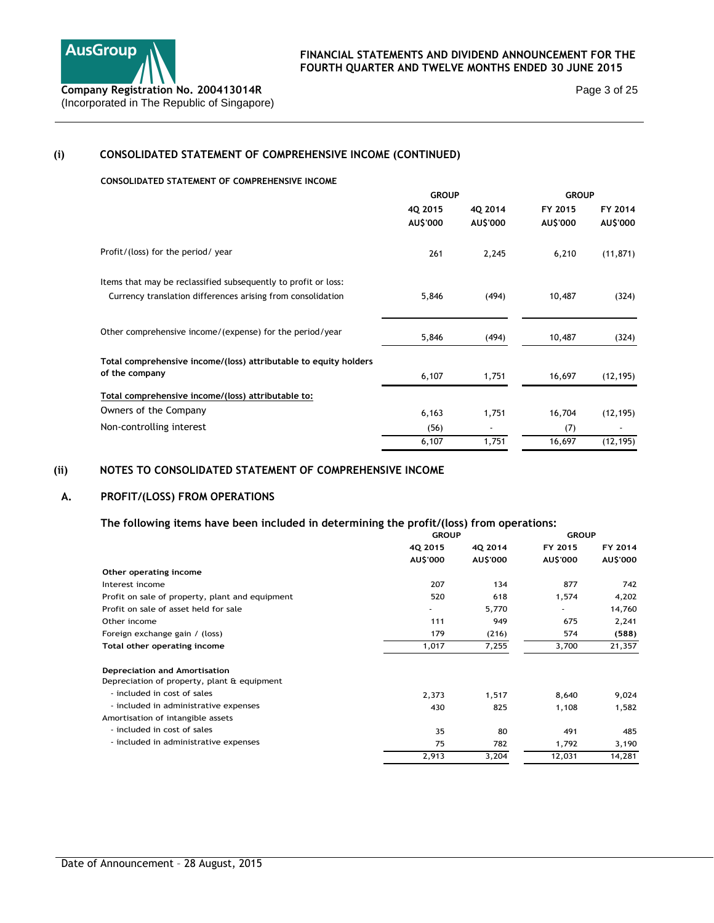

Page 3 of 25

# **(i) CONSOLIDATED STATEMENT OF COMPREHENSIVE INCOME (CONTINUED)**

#### **CONSOLIDATED STATEMENT OF COMPREHENSIVE INCOME**

|                                                                  | <b>GROUP</b> |          | <b>GROUP</b> |           |
|------------------------------------------------------------------|--------------|----------|--------------|-----------|
|                                                                  | 4Q 2015      | 40 2014  | FY 2015      | FY 2014   |
|                                                                  | AU\$'000     | AU\$'000 | AU\$'000     | AU\$'000  |
| Profit/(loss) for the period/ year                               | 261          | 2,245    | 6,210        | (11, 871) |
| Items that may be reclassified subsequently to profit or loss:   |              |          |              |           |
| Currency translation differences arising from consolidation      | 5,846        | (494)    | 10,487       | (324)     |
| Other comprehensive income/(expense) for the period/year         | 5,846        | (494)    | 10,487       | (324)     |
| Total comprehensive income/(loss) attributable to equity holders |              |          |              |           |
| of the company                                                   | 6,107        | 1,751    | 16,697       | (12, 195) |
| Total comprehensive income/(loss) attributable to:               |              |          |              |           |
| Owners of the Company                                            | 6,163        | 1,751    | 16,704       | (12, 195) |
| Non-controlling interest                                         | (56)         |          | (7)          |           |
|                                                                  | 6,107        | 1,751    | 16,697       | (12, 195) |

# **(ii) NOTES TO CONSOLIDATED STATEMENT OF COMPREHENSIVE INCOME**

### **A. PROFIT/(LOSS) FROM OPERATIONS**

# **The following items have been included in determining the profit/(loss) from operations:**

|                                                 | <b>GROUP</b> |          | <b>GROUP</b> |          |  |
|-------------------------------------------------|--------------|----------|--------------|----------|--|
|                                                 | 4Q 2015      | 4Q 2014  | FY 2015      | FY 2014  |  |
|                                                 | AU\$'000     | AU\$'000 | AU\$'000     | AU\$'000 |  |
| Other operating income                          |              |          |              |          |  |
| Interest income                                 | 207          | 134      | 877          | 742      |  |
| Profit on sale of property, plant and equipment | 520          | 618      | 1,574        | 4,202    |  |
| Profit on sale of asset held for sale           |              | 5,770    | ٠            | 14,760   |  |
| Other income                                    | 111          | 949      | 675          | 2,241    |  |
| Foreign exchange gain / (loss)                  | 179          | (216)    | 574          | (588)    |  |
| Total other operating income                    | 1,017        | 7,255    | 3,700        | 21,357   |  |
| <b>Depreciation and Amortisation</b>            |              |          |              |          |  |
| Depreciation of property, plant & equipment     |              |          |              |          |  |
| - included in cost of sales                     | 2,373        | 1,517    | 8,640        | 9,024    |  |
| - included in administrative expenses           | 430          | 825      | 1,108        | 1,582    |  |
| Amortisation of intangible assets               |              |          |              |          |  |
| - included in cost of sales                     | 35           | 80       | 491          | 485      |  |
| - included in administrative expenses           | 75           | 782      | 1,792        | 3,190    |  |
|                                                 | 2,913        | 3,204    | 12,031       | 14,281   |  |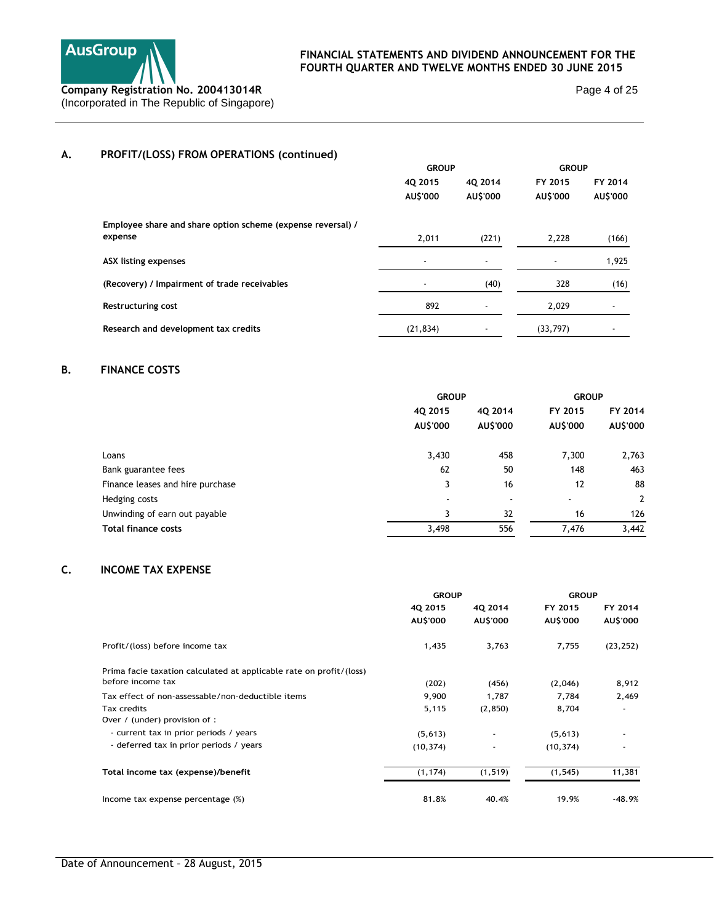

**GROUP GROUP**

Page 4 of 25

# **A. PROFIT/(LOSS) FROM OPERATIONS (continued)**

|                                                             | 40 2015<br>AU\$'000      | 40 2014<br>AU\$'000      | FY 2015<br>AU\$'000 | FY 2014<br>AU\$'000 |
|-------------------------------------------------------------|--------------------------|--------------------------|---------------------|---------------------|
| Employee share and share option scheme (expense reversal) / |                          |                          |                     |                     |
| expense                                                     | 2,011                    | (221)                    | 2,228               | (166)               |
| <b>ASX listing expenses</b>                                 | $\overline{\phantom{a}}$ | $\overline{\phantom{a}}$ |                     | 1,925               |
| (Recovery) / Impairment of trade receivables                |                          | (40)                     | 328                 | (16)                |
| Restructuring cost                                          | 892                      | $\overline{\phantom{a}}$ | 2,029               |                     |
| Research and development tax credits                        | (21, 834)                |                          | (33,797)            |                     |

# **B. FINANCE COSTS**

|                                  | <b>GROUP</b>             |                 | <b>GROUP</b> |                |
|----------------------------------|--------------------------|-----------------|--------------|----------------|
|                                  | 4Q 2015                  | 40 2014         | FY 2015      | FY 2014        |
|                                  | AU\$'000                 | <b>AU\$'000</b> | AU\$'000     | AU\$'000       |
| Loans                            | 3,430                    | 458             | 7,300        | 2,763          |
| Bank guarantee fees              | 62                       | 50              | 148          | 463            |
| Finance leases and hire purchase | 3                        | 16              | 12           | 88             |
| Hedging costs                    | $\overline{\phantom{a}}$ | ٠               | $\sim$       | $\overline{2}$ |
| Unwinding of earn out payable    | 3                        | 32              | 16           | 126            |
| <b>Total finance costs</b>       | 3,498                    | 556             | 7.476        | 3,442          |

# **C. INCOME TAX EXPENSE**

|                                                                     | <b>GROUP</b> |          | <b>GROUP</b> |           |  |
|---------------------------------------------------------------------|--------------|----------|--------------|-----------|--|
|                                                                     | 4Q 2015      | 4Q 2014  | FY 2015      | FY 2014   |  |
|                                                                     | AU\$'000     | AU\$'000 | AU\$'000     | AU\$'000  |  |
| Profit/(loss) before income tax                                     | 1,435        | 3,763    | 7,755        | (23, 252) |  |
| Prima facie taxation calculated at applicable rate on profit/(loss) |              |          |              |           |  |
| before income tax                                                   | (202)        | (456)    | (2,046)      | 8,912     |  |
| Tax effect of non-assessable/non-deductible items                   | 9,900        | 1,787    | 7,784        | 2,469     |  |
| Tax credits                                                         | 5,115        | (2, 850) | 8,704        |           |  |
| Over / (under) provision of :                                       |              |          |              |           |  |
| - current tax in prior periods / years                              | (5,613)      | ٠        | (5,613)      |           |  |
| - deferred tax in prior periods / years                             | (10, 374)    | ٠        | (10, 374)    |           |  |
| Total income tax (expense)/benefit                                  | (1, 174)     | (1, 519) | (1, 545)     | 11,381    |  |
| Income tax expense percentage (%)                                   | 81.8%        | 40.4%    | 19.9%        | $-48.9%$  |  |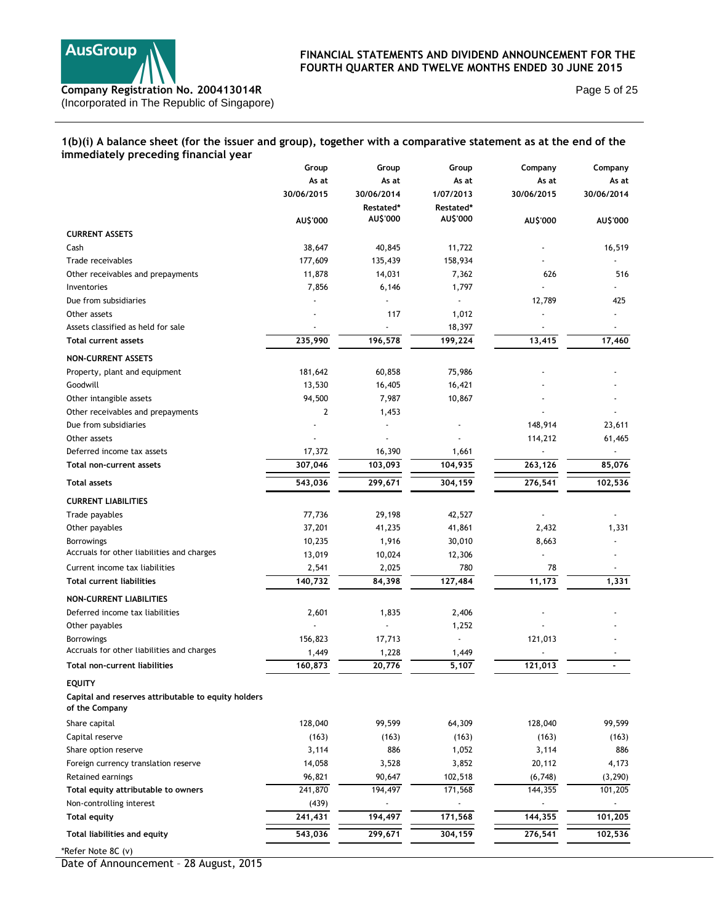

Page 5 of 25

# **1(b)(i) A balance sheet (for the issuer and group), together with a comparative statement as at the end of the immediately preceding financial year**

|                                                                       | Group          | Group      | Group                    | Company    | Company    |
|-----------------------------------------------------------------------|----------------|------------|--------------------------|------------|------------|
|                                                                       | As at          | As at      | As at                    | As at      | As at      |
|                                                                       | 30/06/2015     | 30/06/2014 | 1/07/2013                | 30/06/2015 | 30/06/2014 |
|                                                                       |                | Restated*  | Restated*                |            |            |
|                                                                       | AU\$'000       | AU\$'000   | AU\$'000                 | AU\$'000   | AU\$'000   |
| <b>CURRENT ASSETS</b>                                                 |                |            |                          |            |            |
| Cash                                                                  | 38,647         | 40,845     | 11,722                   |            | 16,519     |
| Trade receivables                                                     | 177,609        | 135,439    | 158,934                  |            |            |
| Other receivables and prepayments                                     | 11,878         | 14,031     | 7,362                    | 626        | 516        |
| Inventories                                                           | 7,856          | 6,146      | 1,797                    |            |            |
| Due from subsidiaries                                                 |                |            |                          | 12,789     | 425        |
| Other assets                                                          |                | 117        | 1,012                    |            |            |
| Assets classified as held for sale                                    |                |            | 18,397                   |            |            |
| <b>Total current assets</b>                                           | 235,990        | 196,578    | 199,224                  | 13,415     | 17,460     |
| <b>NON-CURRENT ASSETS</b>                                             |                |            |                          |            |            |
| Property, plant and equipment                                         | 181,642        | 60,858     | 75,986                   |            |            |
| Goodwill                                                              | 13,530         | 16,405     | 16,421                   |            |            |
| Other intangible assets                                               | 94,500         | 7,987      | 10,867                   |            |            |
| Other receivables and prepayments                                     | $\overline{2}$ | 1,453      |                          |            |            |
| Due from subsidiaries                                                 |                |            |                          | 148,914    | 23,611     |
| Other assets                                                          |                | Ĭ.         |                          | 114,212    | 61,465     |
| Deferred income tax assets                                            | 17,372         | 16,390     | 1,661                    |            |            |
| Total non-current assets                                              | 307,046        | 103,093    | 104,935                  | 263,126    | 85,076     |
| <b>Total assets</b>                                                   | 543,036        | 299,671    | 304,159                  | 276,541    | 102,536    |
|                                                                       |                |            |                          |            |            |
| <b>CURRENT LIABILITIES</b>                                            |                |            |                          |            |            |
| Trade payables                                                        | 77,736         | 29,198     | 42,527                   |            |            |
| Other payables                                                        | 37,201         | 41,235     | 41,861                   | 2,432      | 1,331      |
| <b>Borrowings</b>                                                     | 10,235         | 1,916      | 30,010                   | 8,663      |            |
| Accruals for other liabilities and charges                            | 13,019         | 10,024     | 12,306                   |            |            |
| Current income tax liabilities                                        | 2,541          | 2,025      | 780                      | 78         |            |
| <b>Total current liabilities</b>                                      | 140,732        | 84,398     | 127,484                  | 11,173     | 1,331      |
| <b>NON-CURRENT LIABILITIES</b>                                        |                |            |                          |            |            |
| Deferred income tax liabilities                                       | 2,601          | 1,835      | 2,406                    |            |            |
| Other payables                                                        |                |            | 1,252                    |            |            |
| <b>Borrowings</b>                                                     | 156,823        | 17,713     |                          | 121,013    |            |
| Accruals for other liabilities and charges                            | 1,449          | 1,228      | 1,449                    |            |            |
| <b>Total non-current liabilities</b>                                  | 160,873        | 20,776     | 5,107                    | 121,013    |            |
| <b>FOUITY</b>                                                         |                |            |                          |            |            |
| Capital and reserves attributable to equity holders<br>of the Company |                |            |                          |            |            |
| Share capital                                                         | 128,040        | 99,599     | 64,309                   | 128,040    | 99,599     |
| Capital reserve                                                       | (163)          | (163)      | (163)                    | (163)      | (163)      |
| Share option reserve                                                  | 3,114          | 886        | 1,052                    | 3,114      | 886        |
| Foreign currency translation reserve                                  | 14,058         | 3,528      | 3,852                    | 20,112     | 4,173      |
| Retained earnings                                                     | 96,821         | 90,647     | 102,518                  | (6,748)    | (3, 290)   |
| Total equity attributable to owners                                   | 241,870        | 194,497    | 171,568                  | 144,355    | 101,205    |
| Non-controlling interest                                              | (439)          |            | $\overline{\phantom{a}}$ |            |            |
| <b>Total equity</b>                                                   | 241,431        | 194,497    | 171,568                  | 144,355    | 101,205    |
| Total liabilities and equity                                          | 543,036        | 299,671    | 304,159                  | 276,541    | 102,536    |
| *Refer Note 8C (v)                                                    |                |            |                          |            |            |

Date of Announcement – 28 August, 2015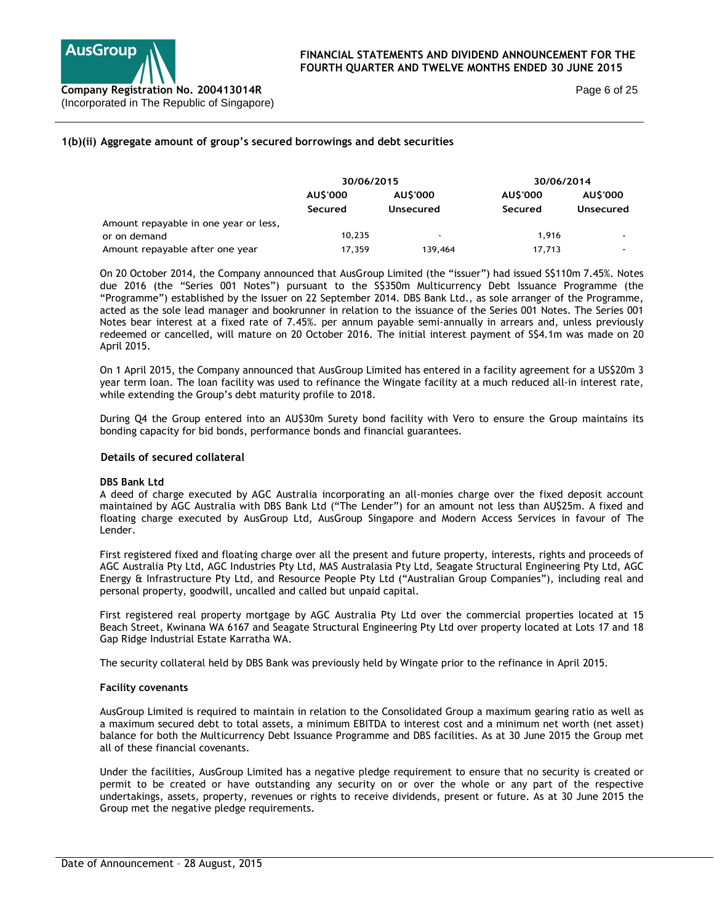

Page 6 of 25

## **1(b)(ii) Aggregate amount of group's secured borrowings and debt securities**

|                                       | 30/06/2015                       |                          | 30/06/2014     |                |
|---------------------------------------|----------------------------------|--------------------------|----------------|----------------|
|                                       | <b>AUS'000</b><br><b>AUS'000</b> |                          | <b>AUS'000</b> | <b>AUS'000</b> |
|                                       | Secured                          | Unsecured                | Secured        | Unsecured      |
| Amount repayable in one year or less, |                                  |                          |                |                |
| or on demand                          | 10,235                           | $\overline{\phantom{a}}$ | 1.916          |                |
| Amount repayable after one year       | 17.359                           | 139,464                  | 17,713         | $\sim$         |

On 20 October 2014, the Company announced that AusGroup Limited (the "issuer") had issued S\$110m 7.45%. Notes due 2016 (the "Series 001 Notes") pursuant to the S\$350m Multicurrency Debt Issuance Programme (the "Programme") established by the Issuer on 22 September 2014. DBS Bank Ltd., as sole arranger of the Programme, acted as the sole lead manager and bookrunner in relation to the issuance of the Series 001 Notes. The Series 001 Notes bear interest at a fixed rate of 7.45%. per annum payable semi-annually in arrears and, unless previously redeemed or cancelled, will mature on 20 October 2016. The initial interest payment of S\$4.1m was made on 20 April 2015.

On 1 April 2015, the Company announced that AusGroup Limited has entered in a facility agreement for a US\$20m 3 year term loan. The loan facility was used to refinance the Wingate facility at a much reduced all-in interest rate, while extending the Group's debt maturity profile to 2018.

During Q4 the Group entered into an AU\$30m Surety bond facility with Vero to ensure the Group maintains its bonding capacity for bid bonds, performance bonds and financial guarantees.

#### **Details of secured collateral**

#### **DBS Bank Ltd**

A deed of charge executed by AGC Australia incorporating an all-monies charge over the fixed deposit account maintained by AGC Australia with DBS Bank Ltd ("The Lender") for an amount not less than AU\$25m. A fixed and floating charge executed by AusGroup Ltd, AusGroup Singapore and Modern Access Services in favour of The Lender.

First registered fixed and floating charge over all the present and future property, interests, rights and proceeds of AGC Australia Pty Ltd, AGC Industries Pty Ltd, MAS Australasia Pty Ltd, Seagate Structural Engineering Pty Ltd, AGC Energy & Infrastructure Pty Ltd, and Resource People Pty Ltd ("Australian Group Companies"), including real and personal property, goodwill, uncalled and called but unpaid capital.

First registered real property mortgage by AGC Australia Pty Ltd over the commercial properties located at 15 Beach Street, Kwinana WA 6167 and Seagate Structural Engineering Pty Ltd over property located at Lots 17 and 18 Gap Ridge Industrial Estate Karratha WA.

The security collateral held by DBS Bank was previously held by Wingate prior to the refinance in April 2015.

#### **Facility covenants**

AusGroup Limited is required to maintain in relation to the Consolidated Group a maximum gearing ratio as well as a maximum secured debt to total assets, a minimum EBITDA to interest cost and a minimum net worth (net asset) balance for both the Multicurrency Debt Issuance Programme and DBS facilities. As at 30 June 2015 the Group met all of these financial covenants.

Under the facilities, AusGroup Limited has a negative pledge requirement to ensure that no security is created or permit to be created or have outstanding any security on or over the whole or any part of the respective undertakings, assets, property, revenues or rights to receive dividends, present or future. As at 30 June 2015 the Group met the negative pledge requirements.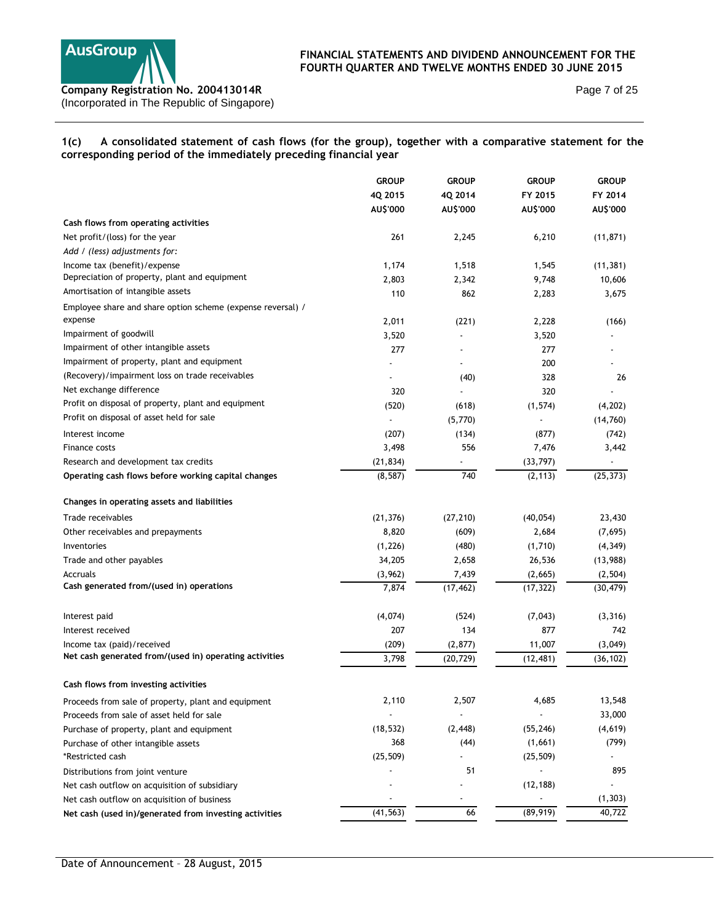

Page 7 of 25

# **1(c) A consolidated statement of cash flows (for the group), together with a comparative statement for the corresponding period of the immediately preceding financial year**

|                                                                        | <b>GROUP</b>          | <b>GROUP</b> | <b>GROUP</b> | <b>GROUP</b> |
|------------------------------------------------------------------------|-----------------------|--------------|--------------|--------------|
|                                                                        | 4Q 2015               | 4Q 2014      | FY 2015      | FY 2014      |
|                                                                        | AU\$'000              | AU\$'000     | AU\$'000     | AU\$'000     |
| Cash flows from operating activities                                   |                       |              |              |              |
| Net profit/(loss) for the year                                         | 261                   | 2,245        | 6,210        | (11, 871)    |
| Add / (less) adjustments for:                                          |                       |              |              |              |
| Income tax (benefit)/expense                                           | 1,174                 | 1,518        | 1,545        | (11, 381)    |
| Depreciation of property, plant and equipment                          | 2,803                 | 2,342        | 9,748        | 10,606       |
| Amortisation of intangible assets                                      | 110                   | 862          | 2,283        | 3,675        |
| Employee share and share option scheme (expense reversal) /<br>expense | 2,011                 | (221)        | 2,228        | (166)        |
| Impairment of goodwill                                                 | 3,520                 |              | 3,520        |              |
| Impairment of other intangible assets                                  | 277                   |              | 277          |              |
| Impairment of property, plant and equipment                            |                       |              | 200          |              |
| (Recovery)/impairment loss on trade receivables                        |                       | (40)         | 328          | 26           |
| Net exchange difference                                                | 320                   |              | 320          |              |
| Profit on disposal of property, plant and equipment                    | (520)                 | (618)        | (1, 574)     | (4,202)      |
| Profit on disposal of asset held for sale                              |                       | (5,770)      |              | (14, 760)    |
| Interest income                                                        | (207)                 | (134)        | (877)        | (742)        |
| Finance costs                                                          | 3,498                 | 556          | 7,476        | 3,442        |
| Research and development tax credits                                   |                       |              | (33, 797)    |              |
| Operating cash flows before working capital changes                    | (21, 834)<br>(8, 587) | 740          | (2, 113)     | (25, 373)    |
|                                                                        |                       |              |              |              |
| Changes in operating assets and liabilities                            |                       |              |              |              |
| Trade receivables                                                      | (21, 376)             | (27, 210)    | (40, 054)    | 23,430       |
| Other receivables and prepayments                                      | 8,820                 | (609)        | 2,684        | (7,695)      |
| Inventories                                                            | (1, 226)              | (480)        | (1,710)      | (4, 349)     |
| Trade and other payables                                               | 34,205                | 2,658        | 26,536       | (13,988)     |
| Accruals                                                               | (3,962)               | 7,439        | (2,665)      | (2, 504)     |
| Cash generated from/(used in) operations                               | 7,874                 | (17, 462)    | (17, 322)    | (30, 479)    |
| Interest paid                                                          | (4,074)               | (524)        | (7,043)      | (3, 316)     |
| Interest received                                                      | 207                   | 134          | 877          | 742          |
| Income tax (paid)/received                                             | (209)                 | (2, 877)     | 11,007       | (3,049)      |
| Net cash generated from/(used in) operating activities                 | 3,798                 | (20, 729)    | (12, 481)    | (36, 102)    |
|                                                                        |                       |              |              |              |
| Cash flows from investing activities                                   |                       |              |              |              |
| Proceeds from sale of property, plant and equipment                    | 2,110                 | 2,507        | 4,685        | 13,548       |
| Proceeds from sale of asset held for sale                              |                       |              |              | 33,000       |
| Purchase of property, plant and equipment                              | (18, 532)             | (2, 448)     | (55, 246)    | (4,619)      |
| Purchase of other intangible assets                                    | 368                   | (44)         | (1,661)      | (799)        |
| *Restricted cash                                                       | (25, 509)             |              | (25, 509)    |              |
| Distributions from joint venture                                       |                       | 51           |              | 895          |
| Net cash outflow on acquisition of subsidiary                          |                       |              | (12, 188)    |              |
| Net cash outflow on acquisition of business                            |                       |              |              | (1, 303)     |
| Net cash (used in)/generated from investing activities                 | (41, 563)             | 66           | (89, 919)    | 40,722       |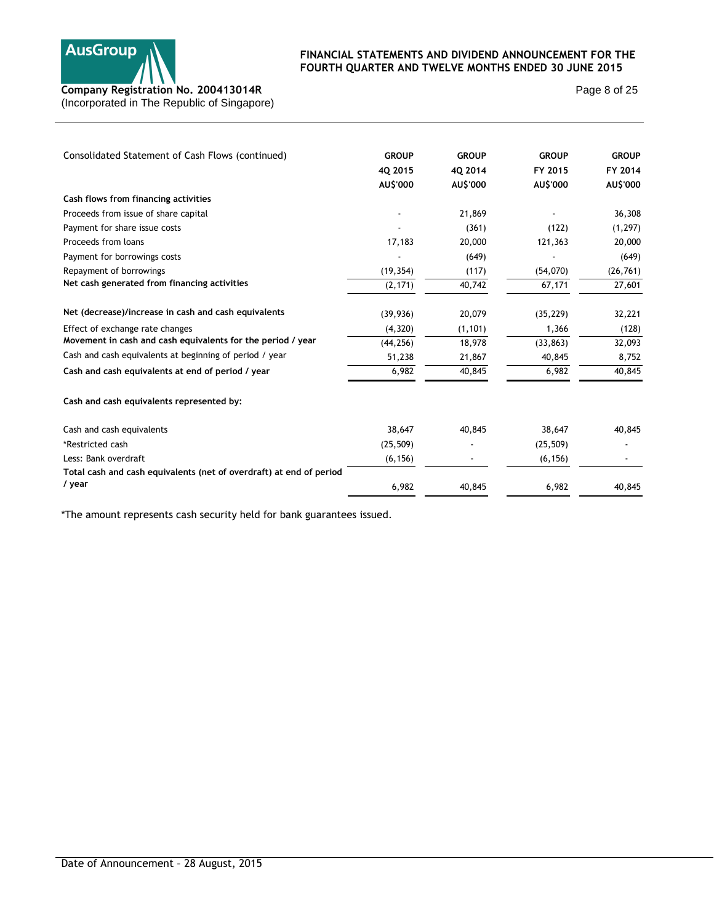

Page 8 of 25

| Consolidated Statement of Cash Flows (continued)                    | <b>GROUP</b> | <b>GROUP</b> | <b>GROUP</b> | <b>GROUP</b> |
|---------------------------------------------------------------------|--------------|--------------|--------------|--------------|
|                                                                     | 40 2015      | 40 2014      | FY 2015      | FY 2014      |
|                                                                     | AU\$'000     | AU\$'000     | AU\$'000     | AU\$'000     |
| Cash flows from financing activities                                |              |              |              |              |
| Proceeds from issue of share capital                                |              | 21,869       |              | 36,308       |
| Payment for share issue costs                                       |              | (361)        | (122)        | (1, 297)     |
| Proceeds from loans                                                 | 17,183       | 20,000       | 121,363      | 20,000       |
| Payment for borrowings costs                                        |              | (649)        |              | (649)        |
| Repayment of borrowings                                             | (19, 354)    | (117)        | (54,070)     | (26, 761)    |
| Net cash generated from financing activities                        | (2, 171)     | 40,742       | 67,171       | 27,601       |
| Net (decrease)/increase in cash and cash equivalents                | (39, 936)    | 20,079       | (35, 229)    | 32,221       |
| Effect of exchange rate changes                                     | (4, 320)     | (1, 101)     | 1,366        | (128)        |
| Movement in cash and cash equivalents for the period / year         | (44, 256)    | 18,978       | (33, 863)    | 32,093       |
| Cash and cash equivalents at beginning of period / year             | 51,238       | 21,867       | 40,845       | 8,752        |
| Cash and cash equivalents at end of period / year                   | 6,982        | 40,845       | 6,982        | 40,845       |
| Cash and cash equivalents represented by:                           |              |              |              |              |
| Cash and cash equivalents                                           | 38,647       | 40,845       | 38,647       | 40,845       |
| *Restricted cash                                                    | (25, 509)    |              | (25, 509)    |              |
| Less: Bank overdraft                                                | (6, 156)     |              | (6, 156)     |              |
| Total cash and cash equivalents (net of overdraft) at end of period |              |              |              |              |
| / year                                                              | 6,982        | 40,845       | 6,982        | 40,845       |

\*The amount represents cash security held for bank guarantees issued.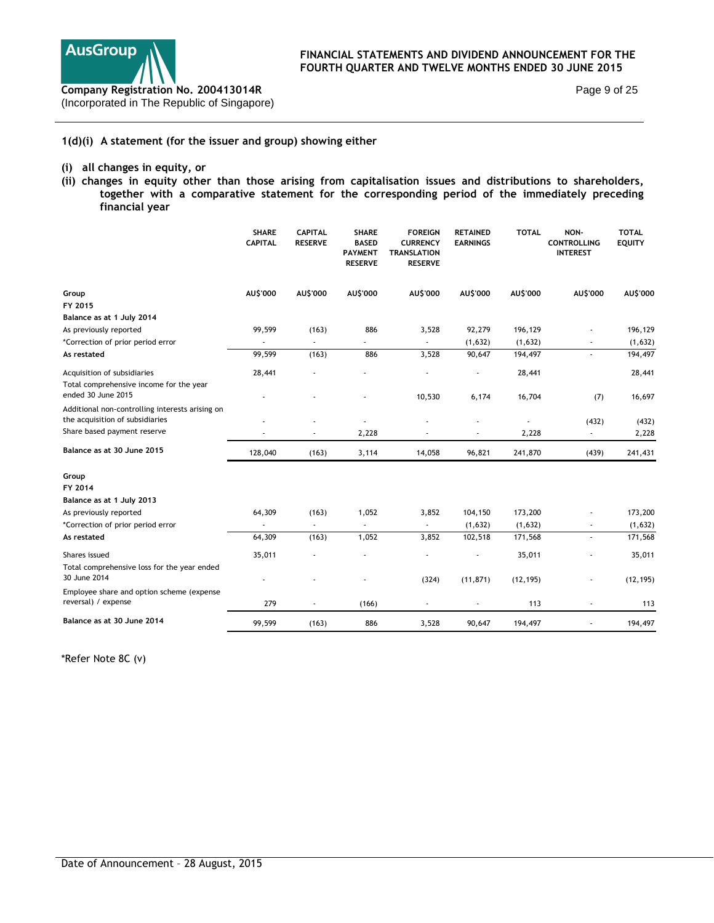

Page 9 of 25

## **1(d)(i) A statement (for the issuer and group) showing either**

## **(i) all changes in equity, or**

**(ii) changes in equity other than those arising from capitalisation issues and distributions to shareholders, together with a comparative statement for the corresponding period of the immediately preceding financial year** 

|                                                                                    | <b>SHARE</b><br><b>CAPITAL</b> | <b>CAPITAL</b><br><b>RESERVE</b> | <b>SHARE</b><br><b>BASED</b><br><b>PAYMENT</b><br><b>RESERVE</b> | <b>FOREIGN</b><br><b>CURRENCY</b><br><b>TRANSLATION</b><br><b>RESERVE</b> | <b>RETAINED</b><br><b>EARNINGS</b> | <b>TOTAL</b> | NON-<br><b>CONTROLLING</b><br><b>INTEREST</b> | <b>TOTAL</b><br><b>EQUITY</b> |
|------------------------------------------------------------------------------------|--------------------------------|----------------------------------|------------------------------------------------------------------|---------------------------------------------------------------------------|------------------------------------|--------------|-----------------------------------------------|-------------------------------|
| Group                                                                              | AU\$'000                       | AU\$'000                         | AU\$'000                                                         | AU\$'000                                                                  | AUS'000                            | AU\$'000     | AU\$'000                                      | AU\$'000                      |
| FY 2015                                                                            |                                |                                  |                                                                  |                                                                           |                                    |              |                                               |                               |
| Balance as at 1 July 2014                                                          |                                |                                  |                                                                  |                                                                           |                                    |              |                                               |                               |
| As previously reported                                                             | 99,599                         | (163)                            | 886                                                              | 3,528                                                                     | 92,279                             | 196,129      |                                               | 196,129                       |
| *Correction of prior period error                                                  |                                |                                  |                                                                  |                                                                           | (1,632)                            | (1,632)      |                                               | (1,632)                       |
| As restated                                                                        | 99,599                         | (163)                            | 886                                                              | 3,528                                                                     | 90,647                             | 194,497      |                                               | 194,497                       |
| Acquisition of subsidiaries                                                        | 28,441                         |                                  |                                                                  |                                                                           | ÷,                                 | 28,441       |                                               | 28,441                        |
| Total comprehensive income for the year<br>ended 30 June 2015                      |                                |                                  |                                                                  | 10,530                                                                    | 6,174                              | 16,704       | (7)                                           | 16,697                        |
| Additional non-controlling interests arising on<br>the acquisition of subsidiaries |                                |                                  |                                                                  |                                                                           |                                    |              | (432)                                         | (432)                         |
| Share based payment reserve                                                        |                                |                                  | 2,228                                                            |                                                                           |                                    | 2,228        | ÷,                                            | 2,228                         |
| Balance as at 30 June 2015                                                         | 128,040                        | (163)                            | 3,114                                                            | 14,058                                                                    | 96,821                             | 241,870      | (439)                                         | 241,431                       |
| Group                                                                              |                                |                                  |                                                                  |                                                                           |                                    |              |                                               |                               |
| FY 2014                                                                            |                                |                                  |                                                                  |                                                                           |                                    |              |                                               |                               |
| Balance as at 1 July 2013                                                          |                                |                                  |                                                                  |                                                                           |                                    |              |                                               |                               |
| As previously reported                                                             | 64,309                         | (163)                            | 1,052                                                            | 3,852                                                                     | 104,150                            | 173,200      |                                               | 173,200                       |
| *Correction of prior period error                                                  |                                |                                  |                                                                  |                                                                           | (1,632)                            | (1,632)      |                                               | (1,632)                       |
| As restated                                                                        | 64,309                         | (163)                            | 1,052                                                            | 3,852                                                                     | 102,518                            | 171,568      | ä,                                            | 171,568                       |
| Shares issued                                                                      | 35,011                         |                                  |                                                                  |                                                                           |                                    | 35,011       |                                               | 35,011                        |
| Total comprehensive loss for the year ended<br>30 June 2014                        |                                |                                  |                                                                  | (324)                                                                     | (11, 871)                          | (12, 195)    |                                               | (12, 195)                     |
| Employee share and option scheme (expense                                          |                                |                                  |                                                                  |                                                                           |                                    |              |                                               |                               |
| reversal) / expense                                                                | 279                            |                                  | (166)                                                            |                                                                           |                                    | 113          |                                               | 113                           |
| Balance as at 30 June 2014                                                         | 99,599                         | (163)                            | 886                                                              | 3,528                                                                     | 90,647                             | 194,497      |                                               | 194,497                       |

\*Refer Note 8C (v)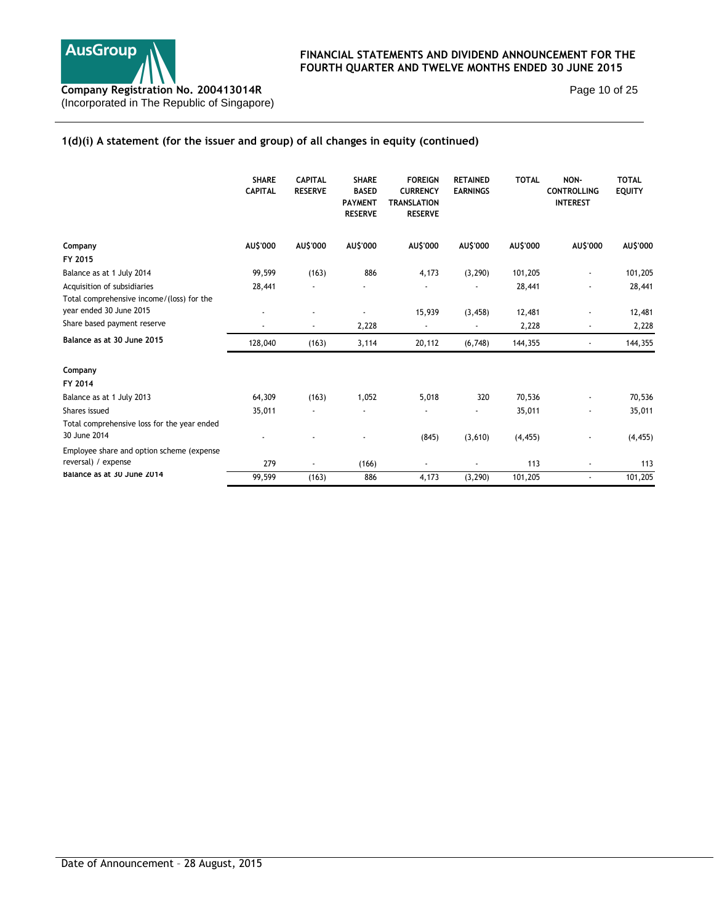

Page 10 of 25

# **1(d)(i) A statement (for the issuer and group) of all changes in equity (continued)**

|                                                                      | <b>SHARE</b><br><b>CAPITAL</b> | <b>CAPITAL</b><br><b>RESERVE</b> | <b>SHARE</b><br><b>BASED</b><br><b>PAYMENT</b><br><b>RESERVE</b> | <b>FOREIGN</b><br><b>CURRENCY</b><br><b>TRANSLATION</b><br><b>RESERVE</b> | <b>RETAINED</b><br><b>EARNINGS</b> | <b>TOTAL</b> | NON-<br><b>CONTROLLING</b><br><b>INTEREST</b> | <b>TOTAL</b><br><b>EQUITY</b> |
|----------------------------------------------------------------------|--------------------------------|----------------------------------|------------------------------------------------------------------|---------------------------------------------------------------------------|------------------------------------|--------------|-----------------------------------------------|-------------------------------|
| Company                                                              | AU\$'000                       | AU\$'000                         | AU\$'000                                                         | AU\$'000                                                                  | AU\$'000                           | AU\$'000     | AU\$'000                                      | AU\$'000                      |
| FY 2015                                                              |                                |                                  |                                                                  |                                                                           |                                    |              |                                               |                               |
| Balance as at 1 July 2014                                            | 99,599                         | (163)                            | 886                                                              | 4,173                                                                     | (3, 290)                           | 101,205      |                                               | 101,205                       |
| Acquisition of subsidiaries                                          | 28,441                         |                                  |                                                                  |                                                                           |                                    | 28,441       |                                               | 28,441                        |
| Total comprehensive income/(loss) for the<br>year ended 30 June 2015 |                                |                                  |                                                                  | 15,939                                                                    | (3, 458)                           | 12,481       |                                               | 12,481                        |
| Share based payment reserve                                          |                                |                                  | 2,228                                                            |                                                                           |                                    | 2,228        |                                               | 2,228                         |
| Balance as at 30 June 2015                                           | 128,040                        | (163)                            | 3,114                                                            | 20,112                                                                    | (6,748)                            | 144,355      |                                               | 144,355                       |
| Company                                                              |                                |                                  |                                                                  |                                                                           |                                    |              |                                               |                               |
| FY 2014                                                              |                                |                                  |                                                                  |                                                                           |                                    |              |                                               |                               |
| Balance as at 1 July 2013                                            | 64,309                         | (163)                            | 1,052                                                            | 5,018                                                                     | 320                                | 70,536       |                                               | 70,536                        |
| Shares issued                                                        | 35,011                         |                                  |                                                                  |                                                                           |                                    | 35,011       |                                               | 35,011                        |
| Total comprehensive loss for the year ended<br>30 June 2014          |                                |                                  |                                                                  | (845)                                                                     | (3,610)                            | (4, 455)     |                                               | (4, 455)                      |
| Employee share and option scheme (expense                            |                                |                                  |                                                                  |                                                                           |                                    |              |                                               |                               |
| reversal) / expense                                                  | 279                            |                                  | (166)                                                            |                                                                           |                                    | 113          |                                               | 113                           |
| Balance as at 30 June 2014                                           | 99,599                         | (163)                            | 886                                                              | 4,173                                                                     | (3, 290)                           | 101,205      |                                               | 101,205                       |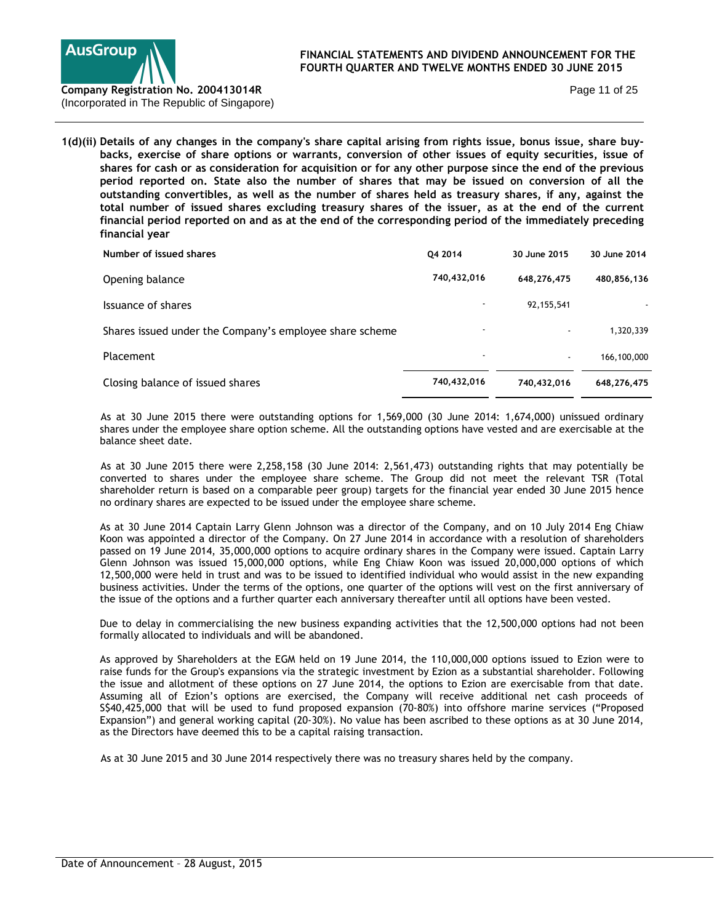

Page 11 of 25

**1(d)(ii) Details of any changes in the company's share capital arising from rights issue, bonus issue, share buybacks, exercise of share options or warrants, conversion of other issues of equity securities, issue of shares for cash or as consideration for acquisition or for any other purpose since the end of the previous period reported on. State also the number of shares that may be issued on conversion of all the outstanding convertibles, as well as the number of shares held as treasury shares, if any, against the total number of issued shares excluding treasury shares of the issuer, as at the end of the current financial period reported on and as at the end of the corresponding period of the immediately preceding financial year** 

| Number of issued shares                                 | 04 2014                  | 30 June 2015 | 30 June 2014 |
|---------------------------------------------------------|--------------------------|--------------|--------------|
| Opening balance                                         | 740,432,016              | 648,276,475  | 480,856,136  |
| Issuance of shares                                      |                          | 92, 155, 541 |              |
| Shares issued under the Company's employee share scheme | $\overline{\phantom{a}}$ |              | 1,320,339    |
| Placement                                               | $\blacksquare$           |              | 166,100,000  |
| Closing balance of issued shares                        | 740,432,016              | 740,432,016  | 648,276,475  |

 As at 30 June 2015 there were outstanding options for 1,569,000 (30 June 2014: 1,674,000) unissued ordinary shares under the employee share option scheme. All the outstanding options have vested and are exercisable at the balance sheet date.

 As at 30 June 2015 there were 2,258,158 (30 June 2014: 2,561,473) outstanding rights that may potentially be converted to shares under the employee share scheme. The Group did not meet the relevant TSR (Total shareholder return is based on a comparable peer group) targets for the financial year ended 30 June 2015 hence no ordinary shares are expected to be issued under the employee share scheme.

As at 30 June 2014 Captain Larry Glenn Johnson was a director of the Company, and on 10 July 2014 Eng Chiaw Koon was appointed a director of the Company. On 27 June 2014 in accordance with a resolution of shareholders passed on 19 June 2014, 35,000,000 options to acquire ordinary shares in the Company were issued. Captain Larry Glenn Johnson was issued 15,000,000 options, while Eng Chiaw Koon was issued 20,000,000 options of which 12,500,000 were held in trust and was to be issued to identified individual who would assist in the new expanding business activities. Under the terms of the options, one quarter of the options will vest on the first anniversary of the issue of the options and a further quarter each anniversary thereafter until all options have been vested.

Due to delay in commercialising the new business expanding activities that the 12,500,000 options had not been formally allocated to individuals and will be abandoned.

As approved by Shareholders at the EGM held on 19 June 2014, the 110,000,000 options issued to Ezion were to raise funds for the Group's expansions via the strategic investment by Ezion as a substantial shareholder. Following the issue and allotment of these options on 27 June 2014, the options to Ezion are exercisable from that date. Assuming all of Ezion's options are exercised, the Company will receive additional net cash proceeds of S\$40,425,000 that will be used to fund proposed expansion (70-80%) into offshore marine services ("Proposed Expansion") and general working capital (20-30%). No value has been ascribed to these options as at 30 June 2014, as the Directors have deemed this to be a capital raising transaction.

As at 30 June 2015 and 30 June 2014 respectively there was no treasury shares held by the company.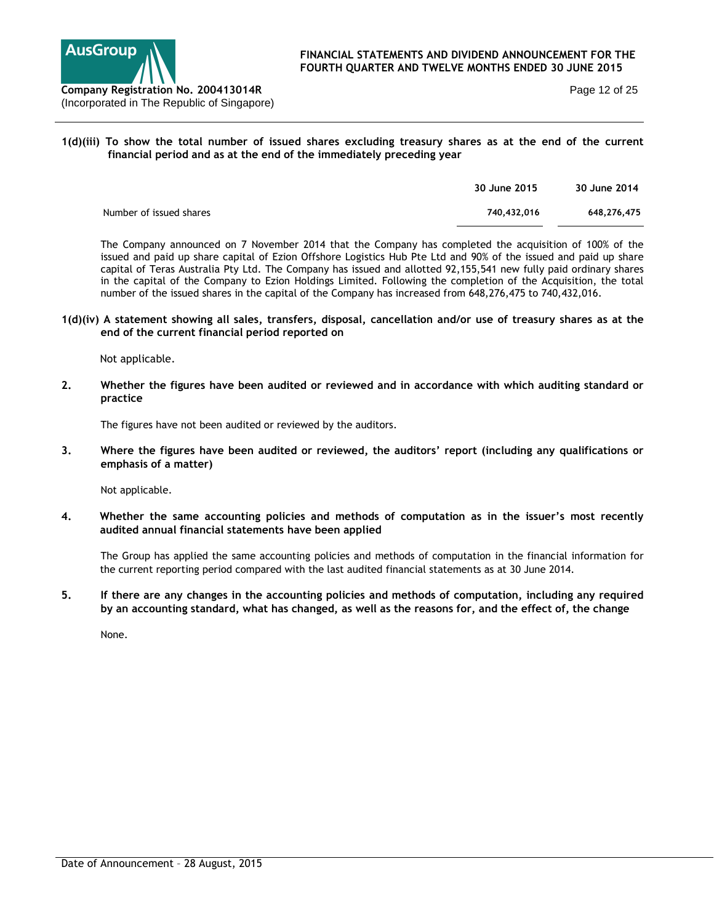

Page 12 of 25

## **1(d)(iii) To show the total number of issued shares excluding treasury shares as at the end of the current financial period and as at the end of the immediately preceding year**

|                         | 30 June 2015 | 30 June 2014 |
|-------------------------|--------------|--------------|
| Number of issued shares | 740.432.016  | 648,276,475  |
|                         |              |              |

The Company announced on 7 November 2014 that the Company has completed the acquisition of 100% of the issued and paid up share capital of Ezion Offshore Logistics Hub Pte Ltd and 90% of the issued and paid up share capital of Teras Australia Pty Ltd. The Company has issued and allotted 92,155,541 new fully paid ordinary shares in the capital of the Company to Ezion Holdings Limited. Following the completion of the Acquisition, the total number of the issued shares in the capital of the Company has increased from 648,276,475 to 740,432,016.

### **1(d)(iv) A statement showing all sales, transfers, disposal, cancellation and/or use of treasury shares as at the end of the current financial period reported on**

Not applicable.

**2. Whether the figures have been audited or reviewed and in accordance with which auditing standard or practice** 

The figures have not been audited or reviewed by the auditors.

**3. Where the figures have been audited or reviewed, the auditors' report (including any qualifications or emphasis of a matter)** 

Not applicable.

**4. Whether the same accounting policies and methods of computation as in the issuer's most recently audited annual financial statements have been applied** 

The Group has applied the same accounting policies and methods of computation in the financial information for the current reporting period compared with the last audited financial statements as at 30 June 2014.

**5. If there are any changes in the accounting policies and methods of computation, including any required by an accounting standard, what has changed, as well as the reasons for, and the effect of, the change**

None.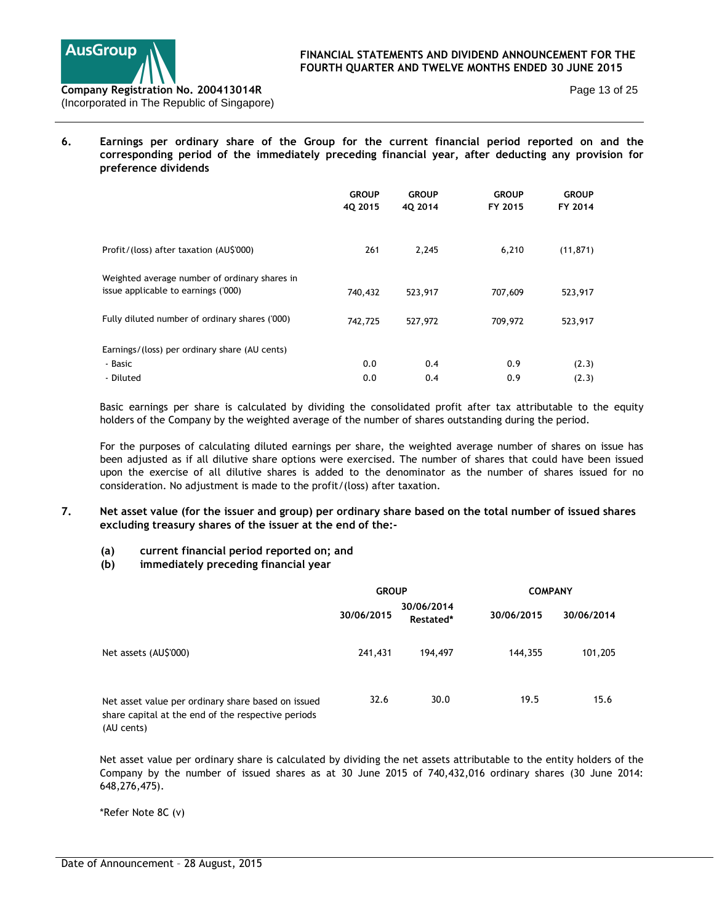

Page 13 of 25

**6. Earnings per ordinary share of the Group for the current financial period reported on and the corresponding period of the immediately preceding financial year, after deducting any provision for preference dividends** 

|                                                                                      | <b>GROUP</b><br>4Q 2015 | <b>GROUP</b><br>40 2014 | <b>GROUP</b><br>FY 2015 | <b>GROUP</b><br>FY 2014 |
|--------------------------------------------------------------------------------------|-------------------------|-------------------------|-------------------------|-------------------------|
| Profit/(loss) after taxation (AU\$'000)                                              | 261                     | 2,245                   | 6,210                   | (11, 871)               |
| Weighted average number of ordinary shares in<br>issue applicable to earnings ('000) | 740,432                 | 523,917                 | 707,609                 | 523,917                 |
| Fully diluted number of ordinary shares ('000)                                       | 742,725                 | 527,972                 | 709,972                 | 523,917                 |
| Earnings/(loss) per ordinary share (AU cents)                                        |                         |                         |                         |                         |
| - Basic                                                                              | 0.0                     | 0.4                     | 0.9                     | (2.3)                   |
| - Diluted                                                                            | 0.0                     | 0.4                     | 0.9                     | (2.3)                   |

Basic earnings per share is calculated by dividing the consolidated profit after tax attributable to the equity holders of the Company by the weighted average of the number of shares outstanding during the period.

For the purposes of calculating diluted earnings per share, the weighted average number of shares on issue has been adjusted as if all dilutive share options were exercised. The number of shares that could have been issued upon the exercise of all dilutive shares is added to the denominator as the number of shares issued for no consideration. No adjustment is made to the profit/(loss) after taxation.

- **7. Net asset value (for the issuer and group) per ordinary share based on the total number of issued shares excluding treasury shares of the issuer at the end of the:-** 
	- **(a) current financial period reported on; and**
	- **(b) immediately preceding financial year**

|                                                                                                                        | <b>GROUP</b> |                         |            | <b>COMPANY</b> |
|------------------------------------------------------------------------------------------------------------------------|--------------|-------------------------|------------|----------------|
|                                                                                                                        | 30/06/2015   | 30/06/2014<br>Restated* | 30/06/2015 | 30/06/2014     |
| Net assets (AU\$'000)                                                                                                  | 241,431      | 194,497                 | 144,355    | 101,205        |
| Net asset value per ordinary share based on issued<br>share capital at the end of the respective periods<br>(AU cents) | 32.6         | 30.0                    | 19.5       | 15.6           |

Net asset value per ordinary share is calculated by dividing the net assets attributable to the entity holders of the Company by the number of issued shares as at 30 June 2015 of 740,432,016 ordinary shares (30 June 2014: 648,276,475).

\*Refer Note 8C (v)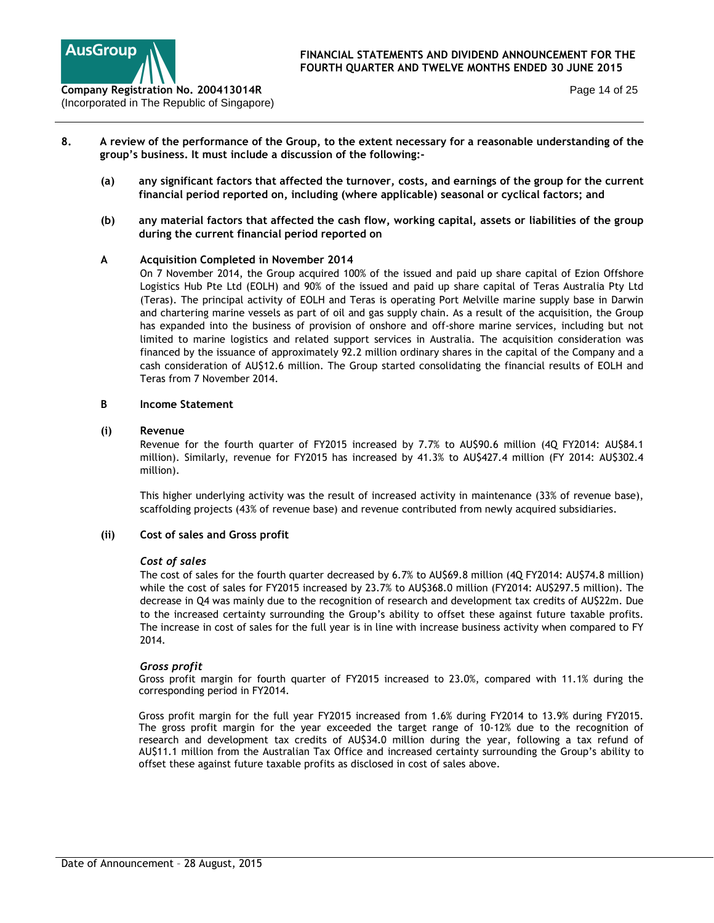

- **8. A review of the performance of the Group, to the extent necessary for a reasonable understanding of the group's business. It must include a discussion of the following:-** 
	- **(a) any significant factors that affected the turnover, costs, and earnings of the group for the current financial period reported on, including (where applicable) seasonal or cyclical factors; and**
	- **(b) any material factors that affected the cash flow, working capital, assets or liabilities of the group during the current financial period reported on**

## **A Acquisition Completed in November 2014**

On 7 November 2014, the Group acquired 100% of the issued and paid up share capital of Ezion Offshore Logistics Hub Pte Ltd (EOLH) and 90% of the issued and paid up share capital of Teras Australia Pty Ltd (Teras). The principal activity of EOLH and Teras is operating Port Melville marine supply base in Darwin and chartering marine vessels as part of oil and gas supply chain. As a result of the acquisition, the Group has expanded into the business of provision of onshore and off-shore marine services, including but not limited to marine logistics and related support services in Australia. The acquisition consideration was financed by the issuance of approximately 92.2 million ordinary shares in the capital of the Company and a cash consideration of AU\$12.6 million. The Group started consolidating the financial results of EOLH and Teras from 7 November 2014.

### **B Income Statement**

### **(i) Revenue**

Revenue for the fourth quarter of FY2015 increased by 7.7% to AU\$90.6 million (4Q FY2014: AU\$84.1 million). Similarly, revenue for FY2015 has increased by 41.3% to AU\$427.4 million (FY 2014: AU\$302.4 million).

This higher underlying activity was the result of increased activity in maintenance (33% of revenue base), scaffolding projects (43% of revenue base) and revenue contributed from newly acquired subsidiaries.

### **(ii) Cost of sales and Gross profit**

### *Cost of sales*

The cost of sales for the fourth quarter decreased by 6.7% to AU\$69.8 million (4Q FY2014: AU\$74.8 million) while the cost of sales for FY2015 increased by 23.7% to AU\$368.0 million (FY2014: AU\$297.5 million). The decrease in Q4 was mainly due to the recognition of research and development tax credits of AU\$22m. Due to the increased certainty surrounding the Group's ability to offset these against future taxable profits. The increase in cost of sales for the full year is in line with increase business activity when compared to FY 2014.

### *Gross profit*

Gross profit margin for fourth quarter of FY2015 increased to 23.0%, compared with 11.1% during the corresponding period in FY2014.

Gross profit margin for the full year FY2015 increased from 1.6% during FY2014 to 13.9% during FY2015. The gross profit margin for the year exceeded the target range of 10-12% due to the recognition of research and development tax credits of AU\$34.0 million during the year, following a tax refund of AU\$11.1 million from the Australian Tax Office and increased certainty surrounding the Group's ability to offset these against future taxable profits as disclosed in cost of sales above.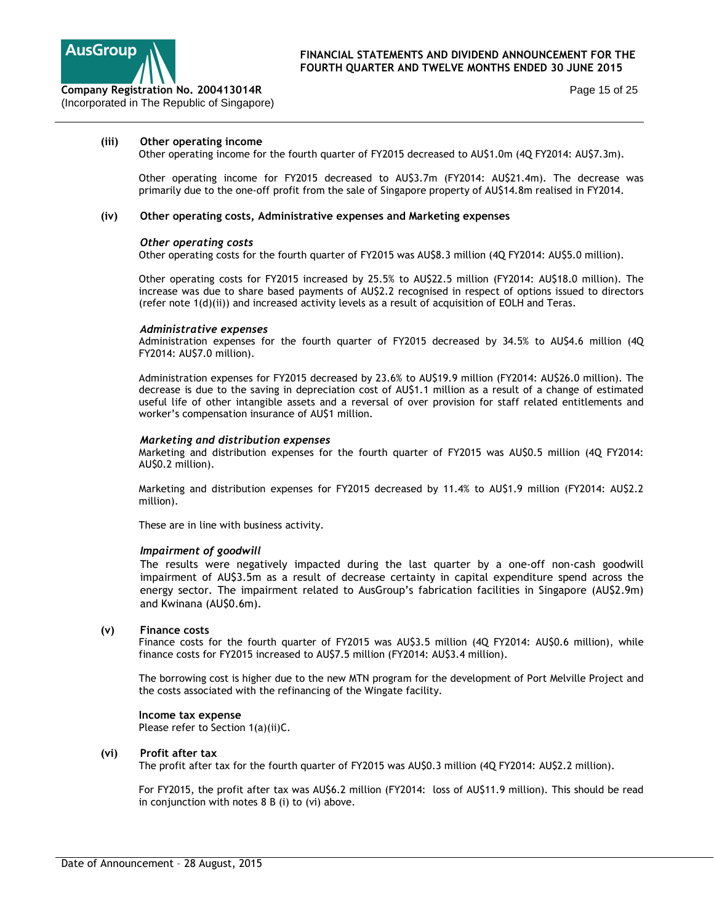

Page 15 of 25

#### **(iii) Other operating income**

Other operating income for the fourth quarter of FY2015 decreased to AU\$1.0m (4Q FY2014: AU\$7.3m).

Other operating income for FY2015 decreased to AU\$3.7m (FY2014: AU\$21.4m). The decrease was primarily due to the one-off profit from the sale of Singapore property of AU\$14.8m realised in FY2014.

#### **(iv) Other operating costs, Administrative expenses and Marketing expenses**

#### *Other operating costs*

Other operating costs for the fourth quarter of FY2015 was AU\$8.3 million (4Q FY2014: AU\$5.0 million).

Other operating costs for FY2015 increased by 25.5% to AU\$22.5 million (FY2014: AU\$18.0 million). The increase was due to share based payments of AU\$2.2 recognised in respect of options issued to directors (refer note 1(d)(ii)) and increased activity levels as a result of acquisition of EOLH and Teras.

#### *Administrative expenses*

Administration expenses for the fourth quarter of FY2015 decreased by 34.5% to AU\$4.6 million (4Q FY2014: AU\$7.0 million).

Administration expenses for FY2015 decreased by 23.6% to AU\$19.9 million (FY2014: AU\$26.0 million). The decrease is due to the saving in depreciation cost of AU\$1.1 million as a result of a change of estimated useful life of other intangible assets and a reversal of over provision for staff related entitlements and worker's compensation insurance of AU\$1 million.

#### *Marketing and distribution expenses*

Marketing and distribution expenses for the fourth quarter of FY2015 was AU\$0.5 million (4Q FY2014: AU\$0.2 million).

Marketing and distribution expenses for FY2015 decreased by 11.4% to AU\$1.9 million (FY2014: AU\$2.2 million).

These are in line with business activity.

#### *Impairment of goodwill*

The results were negatively impacted during the last quarter by a one-off non-cash goodwill impairment of AU\$3.5m as a result of decrease certainty in capital expenditure spend across the energy sector. The impairment related to AusGroup's fabrication facilities in Singapore (AU\$2.9m) and Kwinana (AU\$0.6m).

#### **(v) Finance costs**

Finance costs for the fourth quarter of FY2015 was AU\$3.5 million (4Q FY2014: AU\$0.6 million), while finance costs for FY2015 increased to AU\$7.5 million (FY2014: AU\$3.4 million).

The borrowing cost is higher due to the new MTN program for the development of Port Melville Project and the costs associated with the refinancing of the Wingate facility.

#### **Income tax expense**

Please refer to Section 1(a)(ii)C.

### **(vi) Profit after tax**

The profit after tax for the fourth quarter of FY2015 was AU\$0.3 million (4Q FY2014: AU\$2.2 million).

For FY2015, the profit after tax was AU\$6.2 million (FY2014: loss of AU\$11.9 million). This should be read in conjunction with notes 8 B (i) to (vi) above.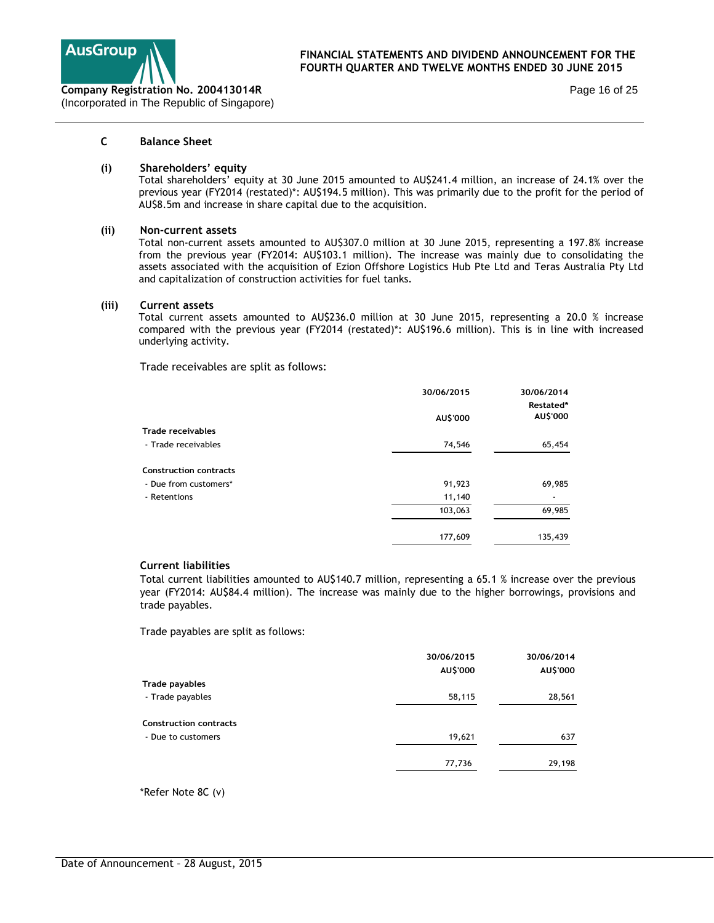

Page 16 of 25

## **C Balance Sheet**

#### **(i) Shareholders' equity**

Total shareholders' equity at 30 June 2015 amounted to AU\$241.4 million, an increase of 24.1% over the previous year (FY2014 (restated)\*: AU\$194.5 million). This was primarily due to the profit for the period of AU\$8.5m and increase in share capital due to the acquisition.

#### **(ii) Non-current assets**

Total non-current assets amounted to AU\$307.0 million at 30 June 2015, representing a 197.8% increase from the previous year (FY2014: AU\$103.1 million). The increase was mainly due to consolidating the assets associated with the acquisition of Ezion Offshore Logistics Hub Pte Ltd and Teras Australia Pty Ltd and capitalization of construction activities for fuel tanks.

#### **(iii) Current assets**

Total current assets amounted to AU\$236.0 million at 30 June 2015, representing a 20.0 % increase compared with the previous year (FY2014 (restated)\*: AU\$196.6 million). This is in line with increased underlying activity.

Trade receivables are split as follows:

|                               | 30/06/2015 | 30/06/2014 |
|-------------------------------|------------|------------|
|                               |            | Restated*  |
|                               | AU\$'000   | AU\$'000   |
| <b>Trade receivables</b>      |            |            |
| - Trade receivables           | 74,546     | 65,454     |
| <b>Construction contracts</b> |            |            |
| - Due from customers*         | 91,923     | 69,985     |
| - Retentions                  | 11,140     |            |
|                               | 103,063    | 69,985     |
|                               | 177,609    | 135,439    |

### **Current liabilities**

Total current liabilities amounted to AU\$140.7 million, representing a 65.1 % increase over the previous year (FY2014: AU\$84.4 million). The increase was mainly due to the higher borrowings, provisions and trade payables.

Trade payables are split as follows:

|                               | 30/06/2015 | 30/06/2014 |
|-------------------------------|------------|------------|
|                               | AU\$'000   | AU\$'000   |
| Trade payables                |            |            |
| - Trade payables              | 58,115     | 28,561     |
| <b>Construction contracts</b> |            |            |
| - Due to customers            | 19,621     | 637        |
|                               | 77,736     | 29,198     |

\*Refer Note 8C (v)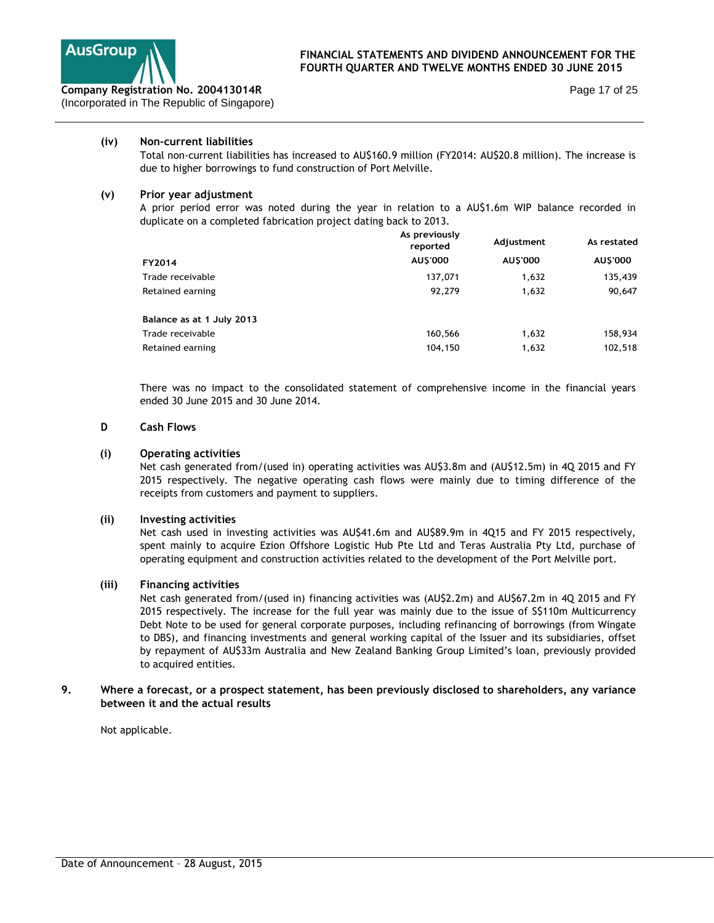

### **(iv) Non-current liabilities**

Total non-current liabilities has increased to AU\$160.9 million (FY2014: AU\$20.8 million). The increase is due to higher borrowings to fund construction of Port Melville.

## **(v) Prior year adjustment**

A prior period error was noted during the year in relation to a AU\$1.6m WIP balance recorded in duplicate on a completed fabrication project dating back to 2013.

|                           | As previously<br>reported | Adjustment      | As restated     |
|---------------------------|---------------------------|-----------------|-----------------|
| FY2014                    | AU\$'000                  | <b>AU\$'000</b> | <b>AU\$'000</b> |
| Trade receivable          | 137.071                   | 1,632           | 135,439         |
| Retained earning          | 92,279                    | 1,632           | 90,647          |
| Balance as at 1 July 2013 |                           |                 |                 |
| Trade receivable          | 160,566                   | 1,632           | 158,934         |
| Retained earning          | 104,150                   | 1,632           | 102,518         |

There was no impact to the consolidated statement of comprehensive income in the financial years ended 30 June 2015 and 30 June 2014.

#### **D Cash Flows**

### **(i) Operating activities**

Net cash generated from/(used in) operating activities was AU\$3.8m and (AU\$12.5m) in 4Q 2015 and FY 2015 respectively. The negative operating cash flows were mainly due to timing difference of the receipts from customers and payment to suppliers.

### **(ii) Investing activities**

Net cash used in investing activities was AU\$41.6m and AU\$89.9m in 4Q15 and FY 2015 respectively, spent mainly to acquire Ezion Offshore Logistic Hub Pte Ltd and Teras Australia Pty Ltd, purchase of operating equipment and construction activities related to the development of the Port Melville port.

### **(iii) Financing activities**

Net cash generated from/(used in) financing activities was (AU\$2.2m) and AU\$67.2m in 4Q 2015 and FY 2015 respectively. The increase for the full year was mainly due to the issue of S\$110m Multicurrency Debt Note to be used for general corporate purposes, including refinancing of borrowings (from Wingate to DBS), and financing investments and general working capital of the Issuer and its subsidiaries, offset by repayment of AU\$33m Australia and New Zealand Banking Group Limited's loan, previously provided to acquired entities.

### **9. Where a forecast, or a prospect statement, has been previously disclosed to shareholders, any variance between it and the actual results**

Not applicable.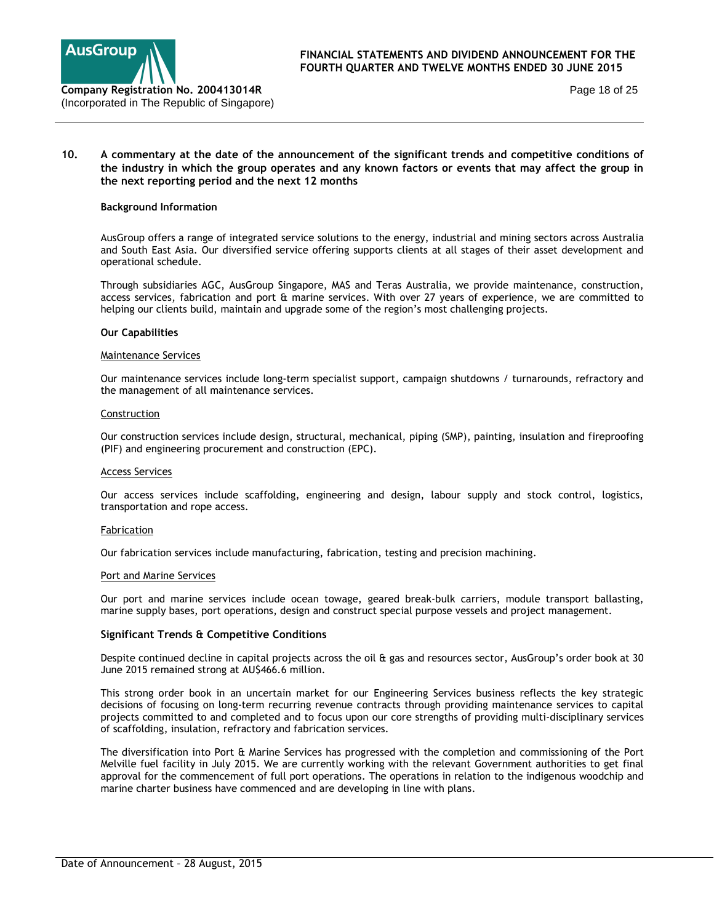

Page 18 of 25

### **10. A commentary at the date of the announcement of the significant trends and competitive conditions of the industry in which the group operates and any known factors or events that may affect the group in the next reporting period and the next 12 months**

#### **Background Information**

AusGroup offers a range of integrated service solutions to the energy, industrial and mining sectors across Australia and South East Asia. Our diversified service offering supports clients at all stages of their asset development and operational schedule.

Through subsidiaries AGC, AusGroup Singapore, MAS and Teras Australia, we provide maintenance, construction, access services, fabrication and port & marine services. With over 27 years of experience, we are committed to helping our clients build, maintain and upgrade some of the region's most challenging projects.

#### **Our Capabilities**

#### Maintenance Services

Our maintenance services include long-term specialist support, campaign shutdowns / turnarounds, refractory and the management of all maintenance services.

#### Construction

Our construction services include design, structural, mechanical, piping (SMP), painting, insulation and fireproofing (PIF) and engineering procurement and construction (EPC).

#### Access Services

Our access services include scaffolding, engineering and design, labour supply and stock control, logistics, transportation and rope access.

#### Fabrication

Our fabrication services include manufacturing, fabrication, testing and precision machining.

#### Port and Marine Services

Our port and marine services include ocean towage, geared break-bulk carriers, module transport ballasting, marine supply bases, port operations, design and construct special purpose vessels and project management.

### **Significant Trends & Competitive Conditions**

Despite continued decline in capital projects across the oil & gas and resources sector, AusGroup's order book at 30 June 2015 remained strong at AU\$466.6 million.

This strong order book in an uncertain market for our Engineering Services business reflects the key strategic decisions of focusing on long-term recurring revenue contracts through providing maintenance services to capital projects committed to and completed and to focus upon our core strengths of providing multi-disciplinary services of scaffolding, insulation, refractory and fabrication services.

The diversification into Port & Marine Services has progressed with the completion and commissioning of the Port Melville fuel facility in July 2015. We are currently working with the relevant Government authorities to get final approval for the commencement of full port operations. The operations in relation to the indigenous woodchip and marine charter business have commenced and are developing in line with plans.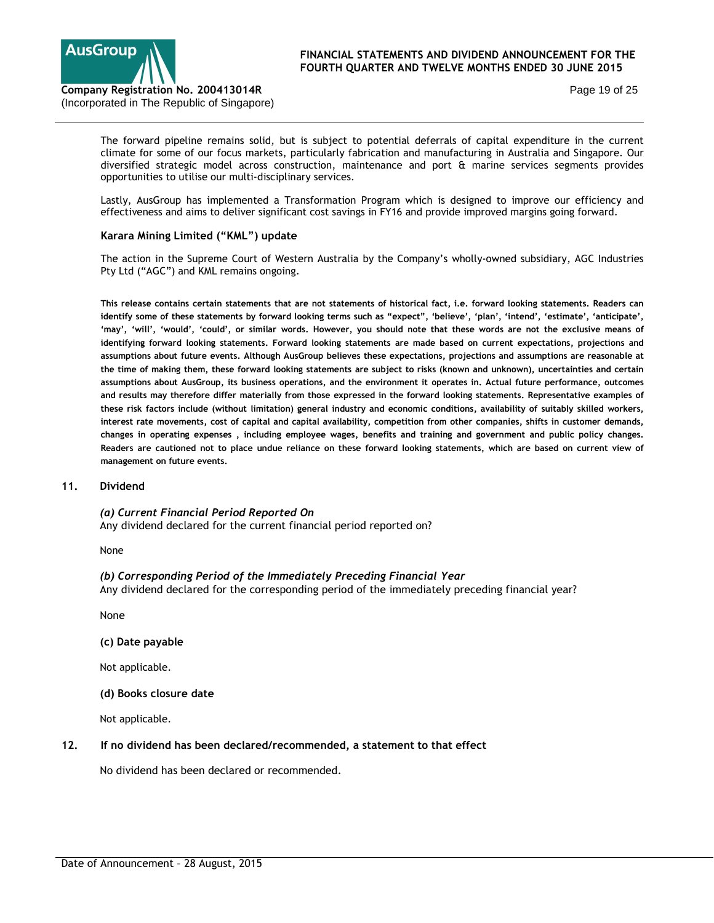

Page 19 of 25

The forward pipeline remains solid, but is subject to potential deferrals of capital expenditure in the current climate for some of our focus markets, particularly fabrication and manufacturing in Australia and Singapore. Our diversified strategic model across construction, maintenance and port & marine services segments provides opportunities to utilise our multi-disciplinary services.

Lastly, AusGroup has implemented a Transformation Program which is designed to improve our efficiency and effectiveness and aims to deliver significant cost savings in FY16 and provide improved margins going forward.

### **Karara Mining Limited ("KML") update**

The action in the Supreme Court of Western Australia by the Company's wholly-owned subsidiary, AGC Industries Pty Ltd ("AGC") and KML remains ongoing.

**This release contains certain statements that are not statements of historical fact, i.e. forward looking statements. Readers can identify some of these statements by forward looking terms such as "expect", 'believe', 'plan', 'intend', 'estimate', 'anticipate', 'may', 'will', 'would', 'could', or similar words. However, you should note that these words are not the exclusive means of identifying forward looking statements. Forward looking statements are made based on current expectations, projections and assumptions about future events. Although AusGroup believes these expectations, projections and assumptions are reasonable at the time of making them, these forward looking statements are subject to risks (known and unknown), uncertainties and certain assumptions about AusGroup, its business operations, and the environment it operates in. Actual future performance, outcomes and results may therefore differ materially from those expressed in the forward looking statements. Representative examples of these risk factors include (without limitation) general industry and economic conditions, availability of suitably skilled workers, interest rate movements, cost of capital and capital availability, competition from other companies, shifts in customer demands, changes in operating expenses , including employee wages, benefits and training and government and public policy changes. Readers are cautioned not to place undue reliance on these forward looking statements, which are based on current view of management on future events.** 

## **11. Dividend**

*(a) Current Financial Period Reported On*  Any dividend declared for the current financial period reported on?

None

*(b) Corresponding Period of the Immediately Preceding Financial Year*  Any dividend declared for the corresponding period of the immediately preceding financial year?

None

**(c) Date payable** 

Not applicable.

### **(d) Books closure date**

Not applicable.

### **12. If no dividend has been declared/recommended, a statement to that effect**

No dividend has been declared or recommended.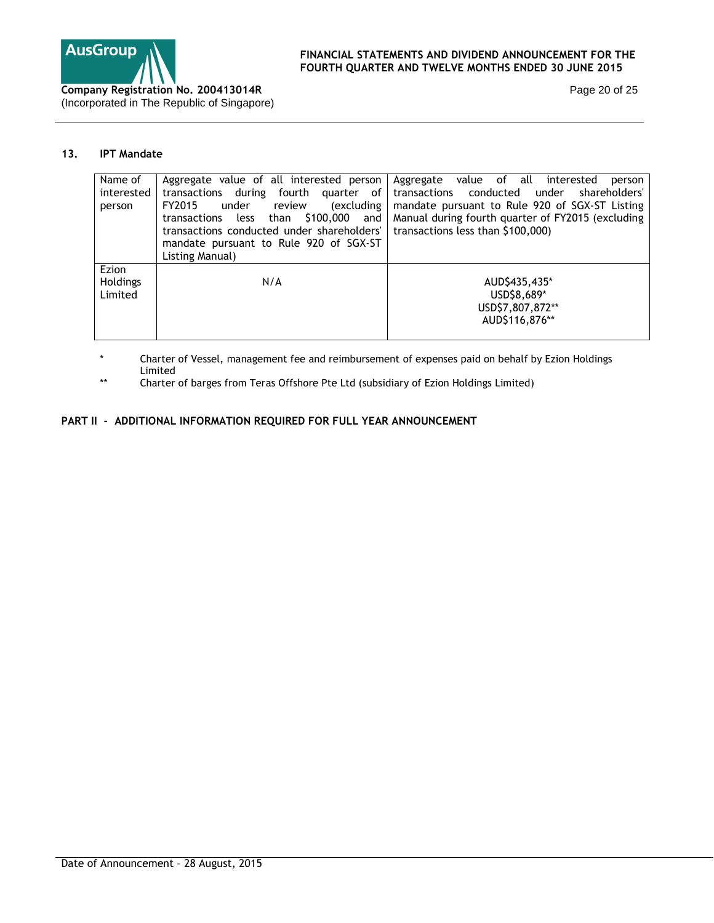

Page 20 of 25

# **13. IPT Mandate**

| Name of         | Aggregate value of all interested person       | Aggregate value of all<br>interested<br>person    |
|-----------------|------------------------------------------------|---------------------------------------------------|
| interested      | transactions during fourth quarter of          | transactions conducted under shareholders'        |
| person          | <i>(excluding</i><br>FY2015<br>review<br>under | mandate pursuant to Rule 920 of SGX-ST Listing    |
|                 | transactions less than \$100,000 and           | Manual during fourth quarter of FY2015 (excluding |
|                 | transactions conducted under shareholders'     | transactions less than \$100,000)                 |
|                 | mandate pursuant to Rule 920 of SGX-ST         |                                                   |
|                 | Listing Manual)                                |                                                   |
| Ezion           |                                                |                                                   |
| <b>Holdings</b> | N/A                                            | AUD\$435,435*                                     |
| Limited         |                                                | USD\$8,689*                                       |
|                 |                                                | USD\$7,807,872**                                  |
|                 |                                                | AUD\$116,876**                                    |
|                 |                                                |                                                   |

\* Charter of Vessel, management fee and reimbursement of expenses paid on behalf by Ezion Holdings Limited

\*\* Charter of barges from Teras Offshore Pte Ltd (subsidiary of Ezion Holdings Limited)

# **PART II - ADDITIONAL INFORMATION REQUIRED FOR FULL YEAR ANNOUNCEMENT**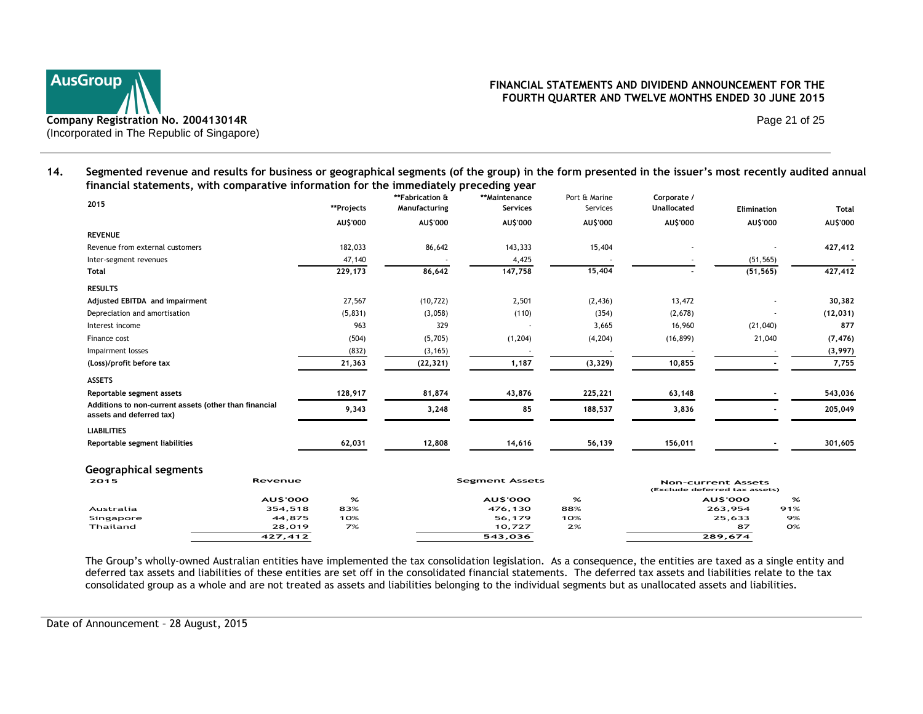

Page 21 of 25

**14. Segmented revenue and results for business or geographical segments (of the group) in the form presented in the issuer's most recently audited annual financial statements, with comparative information for the immediately preceding year** 

| 2015                                                                              | **Projects | **Fabrication &<br>Manufacturing | **Maintenance<br><b>Services</b> | Port & Marine<br>Services | Corporate /<br>Unallocated | <b>Elimination</b> | <b>Total</b>    |
|-----------------------------------------------------------------------------------|------------|----------------------------------|----------------------------------|---------------------------|----------------------------|--------------------|-----------------|
|                                                                                   | AU\$'000   | AU\$'000                         | AU\$'000                         | AU\$'000                  | AU\$'000                   | AU\$'000           | <b>AU\$'000</b> |
| <b>REVENUE</b>                                                                    |            |                                  |                                  |                           |                            |                    |                 |
| Revenue from external customers                                                   | 182,033    | 86,642                           | 143,333                          | 15,404                    |                            |                    | 427,412         |
| Inter-segment revenues                                                            | 47,140     |                                  | 4,425                            |                           |                            | (51, 565)          |                 |
| Total                                                                             | 229,173    | 86,642                           | 147,758                          | 15,404                    |                            | (51, 565)          | 427,412         |
| <b>RESULTS</b>                                                                    |            |                                  |                                  |                           |                            |                    |                 |
| Adjusted EBITDA and impairment                                                    | 27,567     | (10, 722)                        | 2,501                            | (2, 436)                  | 13,472                     | ٠                  | 30,382          |
| Depreciation and amortisation                                                     | (5,831)    | (3,058)                          | (110)                            | (354)                     | (2,678)                    |                    | (12, 031)       |
| Interest income                                                                   | 963        | 329                              |                                  | 3,665                     | 16,960                     | (21,040)           | 877             |
| Finance cost                                                                      | (504)      | (5,705)                          | (1, 204)                         | (4, 204)                  | (16, 899)                  | 21,040             | (7, 476)        |
| Impairment losses                                                                 | (832)      | (3, 165)                         |                                  |                           |                            |                    | (3,997)         |
| (Loss)/profit before tax                                                          | 21,363     | (22, 321)                        | 1,187                            | (3, 329)                  | 10,855                     |                    | 7,755           |
| <b>ASSETS</b>                                                                     |            |                                  |                                  |                           |                            |                    |                 |
| Reportable segment assets                                                         | 128,917    | 81,874                           | 43,876                           | 225,221                   | 63,148                     |                    | 543,036         |
| Additions to non-current assets (other than financial<br>assets and deferred tax) | 9,343      | 3,248                            | 85                               | 188,537                   | 3,836                      |                    | 205,049         |
| <b>LIABILITIES</b>                                                                |            |                                  |                                  |                           |                            |                    |                 |
| Reportable segment liabilities                                                    | 62,031     | 12,808                           | 14,616                           | 56,139                    | 156,011                    |                    | 301,605         |

#### **Geographical segments**

| -<br>-<br>2015 | Revenue |     | <b>Segment Assets</b> |     |                | <b>Non-current Assets</b><br>(Exclude deferred tax assets) |  |  |
|----------------|---------|-----|-----------------------|-----|----------------|------------------------------------------------------------|--|--|
|                | AUS'OOO | %   | AUS'OOO               | %   | <b>AUS'OOO</b> | %                                                          |  |  |
| Australia      | 354,518 | 83% | 476,130               | 88% | 263,954        | 91%                                                        |  |  |
| Singapore      | 44.875  | 10% | 56.179                | 10% | 25,633         | 9%                                                         |  |  |
| Thailand       | 28,019  | 7%  | 10.727                | 2%  | 87             | <b>O%</b>                                                  |  |  |
|                | 427,412 |     | 543,036               |     | 289,674        |                                                            |  |  |

The Group's wholly-owned Australian entities have implemented the tax consolidation legislation. As a consequence, the entities are taxed as a single entity and deferred tax assets and liabilities of these entities are set off in the consolidated financial statements. The deferred tax assets and liabilities relate to the tax consolidated group as a whole and are not treated as assets and liabilities belonging to the individual segments but as unallocated assets and liabilities.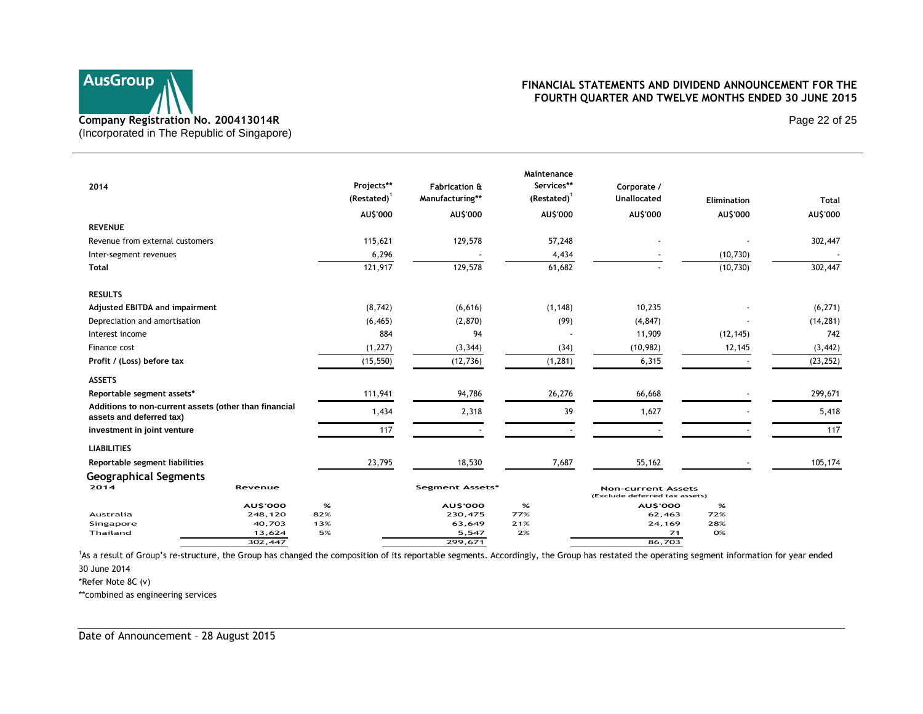

Page 22 of 25

| 2014                            |                                                       | Projects**<br>$(Restated)^1$ | <b>Fabrication &amp;</b><br>Manufacturing** | Maintenance<br>Services**<br>$(Restated)^1$ | Corporate /<br><b>Unallocated</b>                          | Elimination | <b>Total</b> |
|---------------------------------|-------------------------------------------------------|------------------------------|---------------------------------------------|---------------------------------------------|------------------------------------------------------------|-------------|--------------|
|                                 |                                                       | AU\$'000                     | AU\$'000                                    | AU\$'000                                    | AU\$'000                                                   | AU\$'000    | AU\$'000     |
| <b>REVENUE</b>                  |                                                       |                              |                                             |                                             |                                                            |             |              |
| Revenue from external customers |                                                       | 115,621                      | 129,578                                     | 57,248                                      |                                                            |             | 302,447      |
| Inter-segment revenues          |                                                       | 6,296                        |                                             | 4,434                                       |                                                            | (10, 730)   |              |
| <b>Total</b>                    |                                                       | 121,917                      | 129,578                                     | 61,682                                      |                                                            | (10, 730)   | 302,447      |
| <b>RESULTS</b>                  |                                                       |                              |                                             |                                             |                                                            |             |              |
| Adjusted EBITDA and impairment  |                                                       | (8, 742)                     | (6,616)                                     | (1, 148)                                    | 10,235                                                     |             | (6, 271)     |
| Depreciation and amortisation   |                                                       | (6, 465)                     | (2,870)                                     | (99)                                        | (4, 847)                                                   |             | (14, 281)    |
| Interest income                 |                                                       | 884                          | 94                                          |                                             | 11,909                                                     | (12, 145)   | 742          |
| Finance cost                    |                                                       | (1, 227)                     | (3, 344)                                    | (34)                                        | (10, 982)                                                  | 12,145      | (3, 442)     |
| Profit / (Loss) before tax      |                                                       | (15, 550)                    | (12, 736)                                   | (1, 281)                                    | 6,315                                                      |             | (23, 252)    |
| <b>ASSETS</b>                   |                                                       |                              |                                             |                                             |                                                            |             |              |
| Reportable segment assets*      |                                                       | 111,941                      | 94,786                                      | 26,276                                      | 66,668                                                     |             | 299,671      |
| assets and deferred tax)        | Additions to non-current assets (other than financial | 1,434                        | 2,318                                       | 39                                          | 1,627                                                      |             | 5,418        |
| investment in joint venture     |                                                       | 117                          |                                             |                                             |                                                            |             | 117          |
| <b>LIABILITIES</b>              |                                                       |                              |                                             |                                             |                                                            |             |              |
| Reportable segment liabilities  |                                                       | 23,795                       | 18,530                                      | 7,687                                       | 55,162                                                     |             | 105,174      |
| <b>Geographical Segments</b>    |                                                       |                              |                                             |                                             |                                                            |             |              |
| 2014                            | Revenue                                               |                              | Segment Assets*                             |                                             | <b>Non-current Assets</b><br>(Exclude deferred tax assets) |             |              |
|                                 | <b>AU\$'000</b>                                       | %                            | <b>AU\$'000</b>                             | %                                           | <b>AU\$'000</b>                                            | $\%$        |              |
| Australia                       | 248,120                                               | 82%                          | 230,475                                     | 77%                                         | 62,463                                                     | 72%         |              |
| Singapore                       | 40,703                                                | 13%                          | 63,649                                      | 21%                                         | 24,169                                                     | 28%         |              |
| Thailand                        | 13,624<br>302,447                                     | 5%                           | 5,547<br>299,671                            | 2%                                          | 71<br>86,703                                               | <b>O%</b>   |              |
|                                 |                                                       |                              |                                             |                                             |                                                            |             |              |

<sup>1</sup>As a result of Group's re-structure, the Group has changed the composition of its reportable segments. Accordingly, the Group has restated the operating segment information for year ended

30 June 2014

\*Refer Note 8C (v)

\*\*combined as engineering services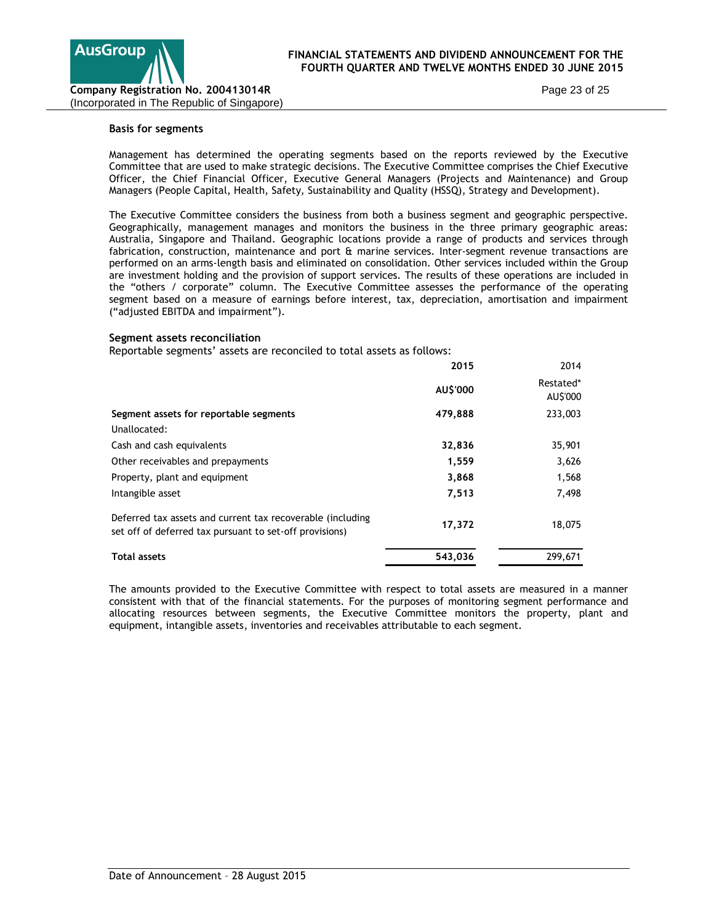

Page 23 of 25

#### **Basis for segments**

Management has determined the operating segments based on the reports reviewed by the Executive Committee that are used to make strategic decisions. The Executive Committee comprises the Chief Executive Officer, the Chief Financial Officer, Executive General Managers (Projects and Maintenance) and Group Managers (People Capital, Health, Safety, Sustainability and Quality (HSSQ), Strategy and Development).

The Executive Committee considers the business from both a business segment and geographic perspective. Geographically, management manages and monitors the business in the three primary geographic areas: Australia, Singapore and Thailand. Geographic locations provide a range of products and services through fabrication, construction, maintenance and port & marine services. Inter-segment revenue transactions are performed on an arms-length basis and eliminated on consolidation. Other services included within the Group are investment holding and the provision of support services. The results of these operations are included in the "others / corporate" column. The Executive Committee assesses the performance of the operating segment based on a measure of earnings before interest, tax, depreciation, amortisation and impairment ("adjusted EBITDA and impairment").

#### **Segment assets reconciliation**

Reportable segments' assets are reconciled to total assets as follows:

|                                                                                                                       | 2015     | 2014                  |
|-----------------------------------------------------------------------------------------------------------------------|----------|-----------------------|
|                                                                                                                       | AU\$'000 | Restated*<br>AU\$'000 |
| Segment assets for reportable segments                                                                                | 479,888  | 233,003               |
| Unallocated:                                                                                                          |          |                       |
| Cash and cash equivalents                                                                                             | 32,836   | 35,901                |
| Other receivables and prepayments                                                                                     | 1,559    | 3,626                 |
| Property, plant and equipment                                                                                         | 3,868    | 1,568                 |
| Intangible asset                                                                                                      | 7,513    | 7,498                 |
| Deferred tax assets and current tax recoverable (including<br>set off of deferred tax pursuant to set-off provisions) | 17,372   | 18,075                |
| <b>Total assets</b>                                                                                                   | 543,036  | 299,671               |

The amounts provided to the Executive Committee with respect to total assets are measured in a manner consistent with that of the financial statements. For the purposes of monitoring segment performance and allocating resources between segments, the Executive Committee monitors the property, plant and equipment, intangible assets, inventories and receivables attributable to each segment.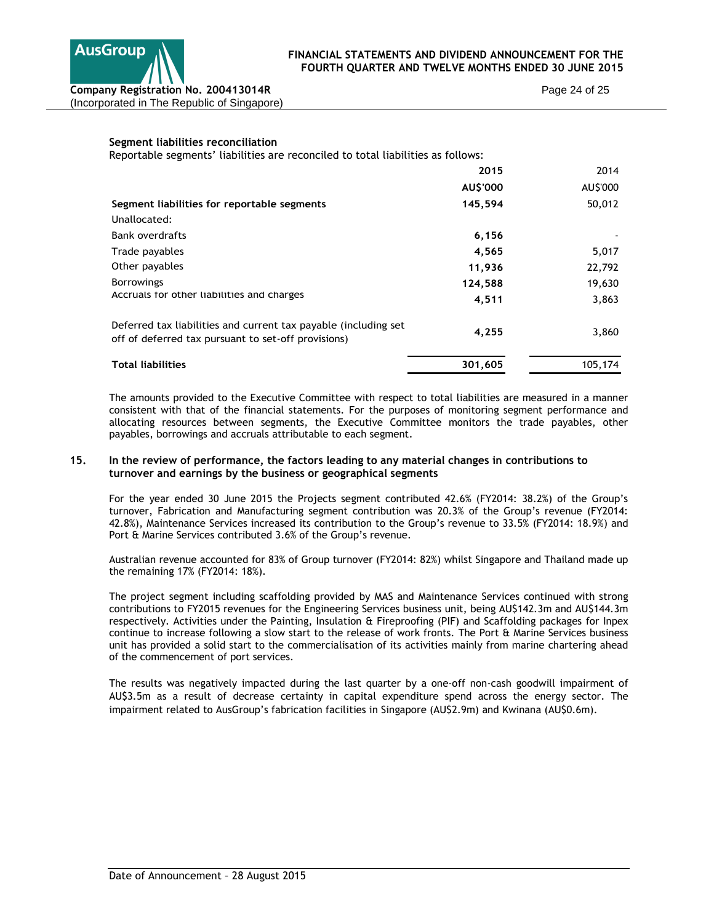

Page 24 of 25

## **Segment liabilities reconciliation**

Reportable segments' liabilities are reconciled to total liabilities as follows:

|                                                                                                                         | 2015     | 2014     |
|-------------------------------------------------------------------------------------------------------------------------|----------|----------|
|                                                                                                                         | AU\$'000 | AU\$'000 |
| Segment liabilities for reportable segments                                                                             | 145,594  | 50,012   |
| Unallocated:                                                                                                            |          |          |
| <b>Bank overdrafts</b>                                                                                                  | 6,156    |          |
| Trade payables                                                                                                          | 4,565    | 5,017    |
| Other payables                                                                                                          | 11,936   | 22,792   |
| <b>Borrowings</b>                                                                                                       | 124,588  | 19,630   |
| Accruals for other liabilities and charges                                                                              | 4,511    | 3,863    |
| Deferred tax liabilities and current tax payable (including set)<br>off of deferred tax pursuant to set-off provisions) | 4,255    | 3,860    |
| <b>Total liabilities</b>                                                                                                | 301,605  | 105,174  |

The amounts provided to the Executive Committee with respect to total liabilities are measured in a manner consistent with that of the financial statements. For the purposes of monitoring segment performance and allocating resources between segments, the Executive Committee monitors the trade payables, other payables, borrowings and accruals attributable to each segment.

## **15. In the review of performance, the factors leading to any material changes in contributions to turnover and earnings by the business or geographical segments**

For the year ended 30 June 2015 the Projects segment contributed 42.6% (FY2014: 38.2%) of the Group's turnover, Fabrication and Manufacturing segment contribution was 20.3% of the Group's revenue (FY2014: 42.8%), Maintenance Services increased its contribution to the Group's revenue to 33.5% (FY2014: 18.9%) and Port & Marine Services contributed 3.6% of the Group's revenue.

Australian revenue accounted for 83% of Group turnover (FY2014: 82%) whilst Singapore and Thailand made up the remaining 17% (FY2014: 18%).

The project segment including scaffolding provided by MAS and Maintenance Services continued with strong contributions to FY2015 revenues for the Engineering Services business unit, being AU\$142.3m and AU\$144.3m respectively. Activities under the Painting, Insulation & Fireproofing (PIF) and Scaffolding packages for Inpex continue to increase following a slow start to the release of work fronts. The Port & Marine Services business unit has provided a solid start to the commercialisation of its activities mainly from marine chartering ahead of the commencement of port services.

The results was negatively impacted during the last quarter by a one-off non-cash goodwill impairment of AU\$3.5m as a result of decrease certainty in capital expenditure spend across the energy sector. The impairment related to AusGroup's fabrication facilities in Singapore (AU\$2.9m) and Kwinana (AU\$0.6m).